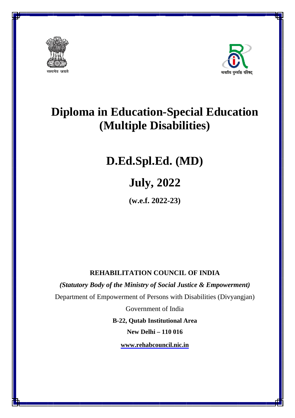



# **Diploma in Education-Special Education**  $(Multiple Disabilities)$ **cial Educat<br>ities)<br>(D)**<br>Example *C*<br>Express<br>Disabilities (Divyang<br>Area

# **D.Ed. .Spl.E Ed. (M MD)**

# **J July, 2 2022**

**(w w.e.f. 202 22-23)** 

## **REHA ABILITA ATION CO OUNCIL OF INDI IA**

*(Statutory Body of the Ministry of Social Justice & Empowerment)* 

Department of Empowerment of Persons with Disabilities (Divyangjan)

Government of India

**B-22, Qutab Institutional Area** 

**Ne ew Delhi – – 110 016**

**www w.rehabcou uncil.nic.in**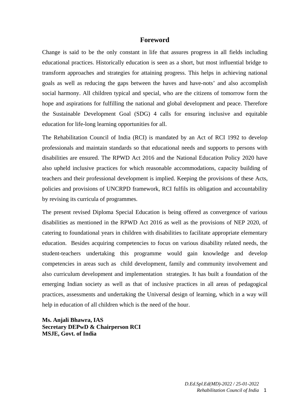#### **Foreword**

Change is said to be the only constant in life that assures progress in all fields including educational practices. Historically education is seen as a short, but most influential bridge to transform approaches and strategies for attaining progress. This helps in achieving national goals as well as reducing the gaps between the haves and have-nots' and also accomplish social harmony. All children typical and special, who are the citizens of tomorrow form the hope and aspirations for fulfilling the national and global development and peace. Therefore the Sustainable Development Goal (SDG) 4 calls for ensuring inclusive and equitable education for life-long learning opportunities for all.

The Rehabilitation Council of India (RCI) is mandated by an Act of RCI 1992 to develop professionals and maintain standards so that educational needs and supports to persons with disabilities are ensured. The RPWD Act 2016 and the National Education Policy 2020 have also upheld inclusive practices for which reasonable accommodations, capacity building of teachers and their professional development is implied. Keeping the provisions of these Acts, policies and provisions of UNCRPD framework, RCI fulfils its obligation and accountability by revising its curricula of programmes.

The present revised Diploma Special Education is being offered as convergence of various disabilities as mentioned in the RPWD Act 2016 as well as the provisions of NEP 2020, of catering to foundational years in children with disabilities to facilitate appropriate elementary education. Besides acquiring competencies to focus on various disability related needs, the student-teachers undertaking this programme would gain knowledge and develop competencies in areas such as child development, family and community involvement and also curriculum development and implementation strategies. It has built a foundation of the emerging Indian society as well as that of inclusive practices in all areas of pedagogical practices, assessments and undertaking the Universal design of learning, which in a way will help in education of all children which is the need of the hour.

**Ms. Anjali Bhawra, IAS Secretary DEPwD & Chairperson RCI MSJE, Govt. of India**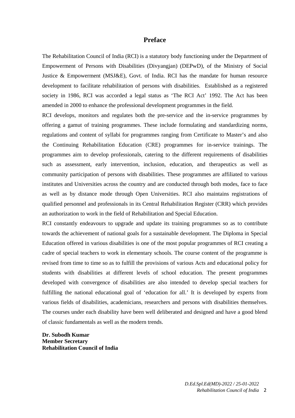#### **Preface**

The Rehabilitation Council of India (RCI) is a statutory body functioning under the Department of Empowerment of Persons with Disabilities (Divyangjan) (DEPwD), of the Ministry of Social Justice & Empowerment (MSJ&E), Govt. of India. RCI has the mandate for human resource development to facilitate rehabilitation of persons with disabilities. Established as a registered society in 1986, RCI was accorded a legal status as 'The RCI Act' 1992. The Act has been amended in 2000 to enhance the professional development programmes in the field.

RCI develops, monitors and regulates both the pre-service and the in-service programmes by offering a gamut of training programmes. These include formulating and standardizing norms, regulations and content of syllabi for programmes ranging from Certificate to Master's and also the Continuing Rehabilitation Education (CRE) programmes for in-service trainings. The programmes aim to develop professionals, catering to the different requirements of disabilities such as assessment, early intervention, inclusion, education, and therapeutics as well as community participation of persons with disabilities. These programmes are affiliated to various institutes and Universities across the country and are conducted through both modes, face to face as well as by distance mode through Open Universities. RCI also maintains registrations of qualified personnel and professionals in its Central Rehabilitation Register (CRR) which provides an authorization to work in the field of Rehabilitation and Special Education.

RCI constantly endeavours to upgrade and update its training programmes so as to contribute towards the achievement of national goals for a sustainable development. The Diploma in Special Education offered in various disabilities is one of the most popular programmes of RCI creating a cadre of special teachers to work in elementary schools. The course content of the programme is revised from time to time so as to fulfill the provisions of various Acts and educational policy for students with disabilities at different levels of school education. The present programmes developed with convergence of disabilities are also intended to develop special teachers for fulfilling the national educational goal of 'education for all.' It is developed by experts from various fields of disabilities, academicians, researchers and persons with disabilities themselves. The courses under each disability have been well deliberated and designed and have a good blend of classic fundamentals as well as the modern trends.

**Dr. Subodh Kumar Member Secretary Rehabilitation Council of India**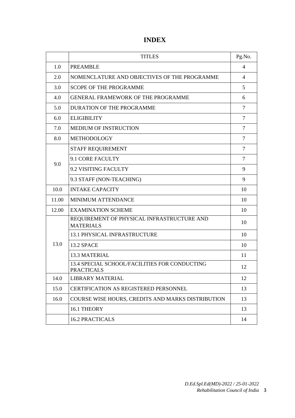|       | <b>TITLES</b>                                                      | Pg.No.         |
|-------|--------------------------------------------------------------------|----------------|
| 1.0   | <b>PREAMBLE</b>                                                    | $\overline{4}$ |
| 2.0   | NOMENCLATURE AND OBJECTIVES OF THE PROGRAMME                       | 4              |
| 3.0   | <b>SCOPE OF THE PROGRAMME</b>                                      | 5              |
| 4.0   | <b>GENERAL FRAMEWORK OF THE PROGRAMME</b>                          | 6              |
| 5.0   | <b>DURATION OF THE PROGRAMME</b>                                   | 7              |
| 6.0   | <b>ELIGIBILITY</b>                                                 | 7              |
| 7.0   | <b>MEDIUM OF INSTRUCTION</b>                                       | $\overline{7}$ |
| 8.0   | <b>METHODOLOGY</b>                                                 | $\overline{7}$ |
|       | <b>STAFF REQUIREMENT</b>                                           | 7              |
|       | 9.1 CORE FACULTY                                                   | 7              |
| 9.0   | 9.2 VISITING FACULTY                                               | 9              |
|       | 9.3 STAFF (NON-TEACHING)                                           | 9              |
| 10.0  | <b>INTAKE CAPACITY</b>                                             | 10             |
| 11.00 | MINIMUM ATTENDANCE                                                 | 10             |
| 12.00 | <b>EXAMINATION SCHEME</b>                                          | 10             |
|       | REQUIREMENT OF PHYSICAL INFRASTRUCTURE AND<br><b>MATERIALS</b>     | 10             |
|       | <b>13.1 PHYSICAL INFRASTRUCTURE</b>                                | 10             |
| 13.0  | 13.2 SPACE                                                         | 10             |
|       | 13.3 MATERIAL                                                      | 11             |
|       | 13.4 SPECIAL SCHOOL/FACILITIES FOR CONDUCTING<br><b>PRACTICALS</b> | 12             |
| 14.0  | <b>LIBRARY MATERIAL</b>                                            | 12             |
| 15.0  | <b>CERTIFICATION AS REGISTERED PERSONNEL</b>                       | 13             |
| 16.0  | COURSE WISE HOURS, CREDITS AND MARKS DISTRIBUTION                  | 13             |
|       | 16.1 THEORY                                                        | 13             |
|       | <b>16.2 PRACTICALS</b>                                             | 14             |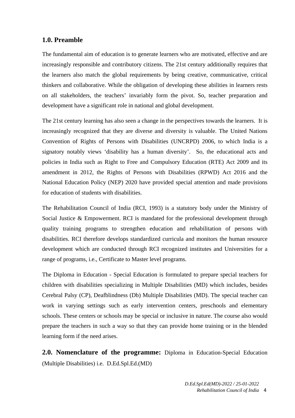#### **1.0. Preamble**

The fundamental aim of education is to generate learners who are motivated, effective and are increasingly responsible and contributory citizens. The 21st century additionally requires that the learners also match the global requirements by being creative, communicative, critical thinkers and collaborative. While the obligation of developing these abilities in learners rests on all stakeholders, the teachers' invariably form the pivot. So, teacher preparation and development have a significant role in national and global development.

The 21st century learning has also seen a change in the perspectives towards the learners. It is increasingly recognized that they are diverse and diversity is valuable. The United Nations Convention of Rights of Persons with Disabilities (UNCRPD) 2006, to which India is a signatory notably views 'disability has a human diversity'. So, the educational acts and policies in India such as Right to Free and Compulsory Education (RTE) Act 2009 and its amendment in 2012, the Rights of Persons with Disabilities (RPWD) Act 2016 and the National Education Policy (NEP) 2020 have provided special attention and made provisions for education of students with disabilities.

The Rehabilitation Council of India (RCI, 1993) is a statutory body under the Ministry of Social Justice & Empowerment. RCI is mandated for the professional development through quality training programs to strengthen education and rehabilitation of persons with disabilities. RCI therefore develops standardized curricula and monitors the human resource development which are conducted through RCI recognized institutes and Universities for a range of programs, i.e., Certificate to Master level programs.

The Diploma in Education - Special Education is formulated to prepare special teachers for children with disabilities specializing in Multiple Disabilities (MD) which includes, besides Cerebral Palsy (CP), Deafblindness (Db) Multiple Disabilities (MD). The special teacher can work in varying settings such as early intervention centers, preschools and elementary schools. These centers or schools may be special or inclusive in nature. The course also would prepare the teachers in such a way so that they can provide home training or in the blended learning form if the need arises.

**2.0. Nomenclature of the programme:** Diploma in Education-Special Education (Multiple Disabilities) i.e. D.Ed.Spl.Ed.(MD)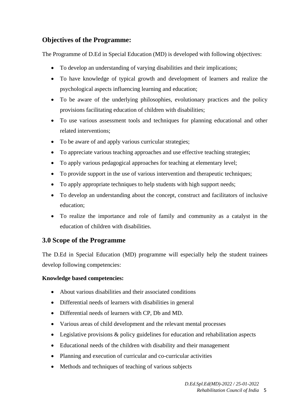## **Objectives of the Programme:**

The Programme of D.Ed in Special Education (MD) is developed with following objectives:

- To develop an understanding of varying disabilities and their implications;
- To have knowledge of typical growth and development of learners and realize the psychological aspects influencing learning and education;
- To be aware of the underlying philosophies, evolutionary practices and the policy provisions facilitating education of children with disabilities;
- To use various assessment tools and techniques for planning educational and other related interventions;
- To be aware of and apply various curricular strategies;
- To appreciate various teaching approaches and use effective teaching strategies;
- To apply various pedagogical approaches for teaching at elementary level;
- To provide support in the use of various intervention and therapeutic techniques;
- To apply appropriate techniques to help students with high support needs;
- To develop an understanding about the concept, construct and facilitators of inclusive education;
- To realize the importance and role of family and community as a catalyst in the education of children with disabilities.

#### **3.0 Scope of the Programme**

The D.Ed in Special Education (MD) programme will especially help the student trainees develop following competencies:

#### **Knowledge based competencies:**

- About various disabilities and their associated conditions
- Differential needs of learners with disabilities in general
- Differential needs of learners with CP, Db and MD.
- Various areas of child development and the relevant mental processes
- Legislative provisions & policy guidelines for education and rehabilitation aspects
- Educational needs of the children with disability and their management
- Planning and execution of curricular and co-curricular activities
- Methods and techniques of teaching of various subjects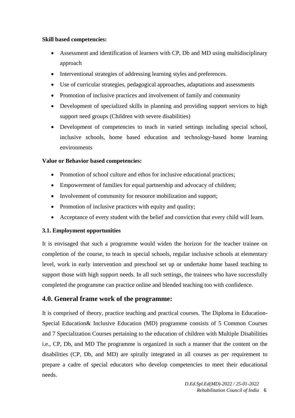#### **Skill based competencies:**

- Assessment and identification of learners with CP, Db and MD using multidisciplinary approach
- Interventional strategies of addressing learning styles and preferences.
- Use of curricular strategies, pedagogical approaches, adaptations and assessments
- Promotion of inclusive practices and involvement of family and community
- Development of specialized skills in planning and providing support services to high support need groups (Children with severe disabilities)
- Development of competencies to teach in varied settings including special school, inclusive schools, home based education and technology-based home learning environments

#### **Value or Behavior based competencies:**

- Promotion of school culture and ethos for inclusive educational practices;
- Empowerment of families for equal partnership and advocacy of children;
- Involvement of community for resource mobilization and support;
- Promotion of inclusive practices with equity and quality;
- Acceptance of every student with the belief and conviction that every child will learn.

#### **3.1. Employment opportunities**

It is envisaged that such a programme would widen the horizon for the teacher trainee on completion of the course, to teach in special schools, regular inclusive schools at elementary level, work in early intervention and preschool set up or undertake home based teaching to support those with high support needs. In all such settings, the trainees who have successfully completed the programme can practice online and blended teaching too with confidence.

#### **4.0. General frame work of the programme:**

It is comprised of theory, practice teaching and practical courses. The Diploma in Education-Special Education& Inclusive Education (MD) programme consists of 5 Common Courses and 7 Specialization Courses pertaining to the education of children with Multiple Disabilities i.e., CP, Db, and MD The programme is organized in such a manner that the content on the disabilities (CP, Db, and MD) are spirally integrated in all courses as per requirement to prepare a cadre of special educators who develop competencies to meet their educational needs.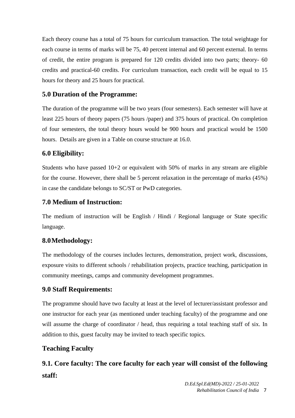Each theory course has a total of 75 hours for curriculum transaction. The total weightage for each course in terms of marks will be 75, 40 percent internal and 60 percent external. In terms of credit, the entire program is prepared for 120 credits divided into two parts; theory- 60 credits and practical-60 credits. For curriculum transaction, each credit will be equal to 15 hours for theory and 25 hours for practical.

## **5.0 Duration of the Programme:**

The duration of the programme will be two years (four semesters). Each semester will have at least 225 hours of theory papers (75 hours /paper) and 375 hours of practical. On completion of four semesters, the total theory hours would be 900 hours and practical would be 1500 hours. Details are given in a Table on course structure at 16.0.

## **6.0 Eligibility:**

Students who have passed 10+2 or equivalent with 50% of marks in any stream are eligible for the course. However, there shall be 5 percent relaxation in the percentage of marks (45%) in case the candidate belongs to SC/ST or PwD categories.

## **7.0 Medium of Instruction:**

The medium of instruction will be English / Hindi / Regional language or State specific language.

## **8.0Methodology:**

The methodology of the courses includes lectures, demonstration, project work, discussions, exposure visits to different schools / rehabilitation projects, practice teaching, participation in community meetings, camps and community development programmes.

## **9.0 Staff Requirements:**

The programme should have two faculty at least at the level of lecturer/assistant professor and one instructor for each year (as mentioned under teaching faculty) of the programme and one will assume the charge of coordinator / head, thus requiring a total teaching staff of six. In addition to this, guest faculty may be invited to teach specific topics.

## **Teaching Faculty**

# **9.1. Core faculty: The core faculty for each year will consist of the following staff:**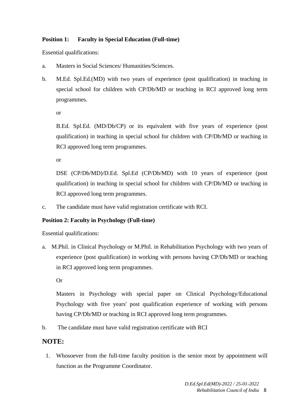#### **Position 1: Faculty in Special Education (Full-time)**

Essential qualifications:

- a. Masters in Social Sciences/ Humanities/Sciences.
- b. M.Ed. Spl.Ed.(MD) with two years of experience (post qualification) in teaching in special school for children with CP/Db/MD or teaching in RCI approved long term programmes.

or

B.Ed. Spl.Ed. (MD/Db/CP) or its equivalent with five years of experience (post qualification) in teaching in special school for children with CP/Db/MD or teaching in RCI approved long term programmes.

or

DSE (CP/Db/MD)/D.Ed. Spl.Ed (CP/Db/MD) with 10 years of experience (post qualification) in teaching in special school for children with CP/Db/MD or teaching in RCI approved long term programmes.

c. The candidate must have valid registration certificate with RCI.

#### **Position 2: Faculty in Psychology (Full-time)**

Essential qualifications:

a. M.Phil. in Clinical Psychology or M.Phil. in Rehabilitation Psychology with two years of experience (post qualification) in working with persons having CP/Db/MD or teaching in RCI approved long term programmes.

Or

Masters in Psychology with special paper on Clinical Psychology/Educational Psychology with five years' post qualification experience of working with persons having CP/Db/MD or teaching in RCI approved long term programmes.

b. The candidate must have valid registration certificate with RCI

#### **NOTE:**

1. Whosoever from the full-time faculty position is the senior most by appointment will function as the Programme Coordinator.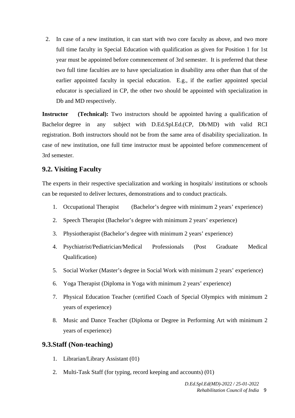2. In case of a new institution, it can start with two core faculty as above, and two more full time faculty in Special Education with qualification as given for Position 1 for 1st year must be appointed before commencement of 3rd semester. It is preferred that these two full time faculties are to have specialization in disability area other than that of the earlier appointed faculty in special education. E.g., if the earlier appointed special educator is specialized in CP, the other two should be appointed with specialization in Db and MD respectively.

**Instructor** (Technical): Two instructors should be appointed having a qualification of Bachelor degree in any subject with D.Ed.Spl.Ed.(CP, Db/MD) with valid RCI registration. Both instructors should not be from the same area of disability specialization. In case of new institution, one full time instructor must be appointed before commencement of 3rd semester.

#### **9.2. Visiting Faculty**

The experts in their respective specialization and working in hospitals/ institutions or schools can be requested to deliver lectures, demonstrations and to conduct practicals.

- 1. Occupational Therapist (Bachelor's degree with minimum 2 years' experience)
- 2. Speech Therapist (Bachelor's degree with minimum 2 years' experience)
- 3. Physiotherapist (Bachelor's degree with minimum 2 years' experience)
- 4. Psychiatrist/Pediatrician/Medical Professionals (Post Graduate Medical Qualification)
- 5. Social Worker (Master's degree in Social Work with minimum 2 years' experience)
- 6. Yoga Therapist (Diploma in Yoga with minimum 2 years' experience)
- 7. Physical Education Teacher (certified Coach of Special Olympics with minimum 2 years of experience)
- 8. Music and Dance Teacher (Diploma or Degree in Performing Art with minimum 2 years of experience)

#### **9.3.Staff (Non-teaching)**

- 1. Librarian/Library Assistant (01)
- 2. Multi-Task Staff (for typing, record keeping and accounts) (01)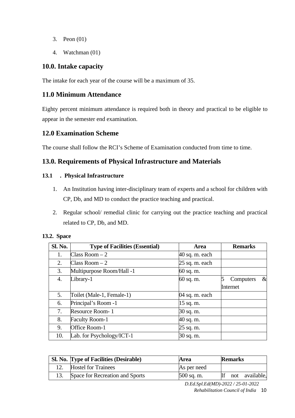- 3. Peon (01)
- 4. Watchman (01)

#### **10.0. Intake capacity**

The intake for each year of the course will be a maximum of 35.

#### **11.0 Minimum Attendance**

Eighty percent minimum attendance is required both in theory and practical to be eligible to appear in the semester end examination.

#### **12.0 Examination Scheme**

The course shall follow the RCI's Scheme of Examination conducted from time to time.

## **13.0. Requirements of Physical Infrastructure and Materials**

#### **13.1 . Physical Infrastructure**

- 1. An Institution having inter-disciplinary team of experts and a school for children with CP, Db, and MD to conduct the practice teaching and practical.
- 2. Regular school/ remedial clinic for carrying out the practice teaching and practical related to CP, Db, and MD.

| Sl. No. | <b>Type of Facilities (Essential)</b> | Area           | <b>Remarks</b>         |
|---------|---------------------------------------|----------------|------------------------|
| 1.      | Class Room $-2$                       | 40 sq. m. each |                        |
| 2.      | $Class Room - 2$                      | 25 sq. m. each |                        |
| 3.      | Multipurpose Room/Hall -1             | 60 sq. m.      |                        |
| 4.      | Library-1                             | 60 sq. m.      | 5<br>$\&$<br>Computers |
|         |                                       |                | Internet               |
| 5.      | Toilet (Male-1, Female-1)             | 04 sq. m. each |                        |
| 6.      | Principal's Room -1                   | 15 sq. m.      |                        |
| 7.      | Resource Room-1                       | 30 sq. m.      |                        |
| 8.      | <b>Faculty Room-1</b>                 | 40 sq. m.      |                        |
| 9.      | Office Room-1                         | 25 sq. m.      |                        |
| 10.     | Lab. for Psychology/ICT-1             | 30 sq. m.      |                        |

#### **13.2. Space**

| Sl. No. Type of Facilities (Desirable) | Area         | <b>Remarks</b> |
|----------------------------------------|--------------|----------------|
| <b>Hostel for Trainees</b>             | As per need  |                |
| Space for Recreation and Sports        | $500$ sq. m. | not available, |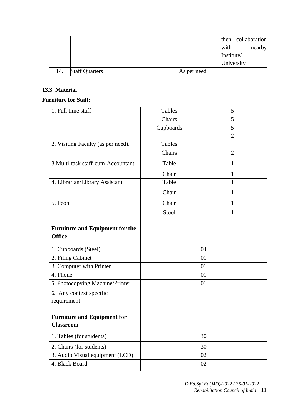|     |                       |             |            | then collaboration |
|-----|-----------------------|-------------|------------|--------------------|
|     |                       |             | with       | nearby             |
|     |                       |             | Institute/ |                    |
|     |                       |             | University |                    |
| 14. | <b>Staff Quarters</b> | As per need |            |                    |

#### **13.3 Material**

#### **Furniture for Staff:**

| 1. Full time staff                                      | <b>Tables</b> | 5              |
|---------------------------------------------------------|---------------|----------------|
|                                                         | Chairs        | 5              |
|                                                         | Cupboards     | 5              |
|                                                         |               | $\overline{2}$ |
| 2. Visiting Faculty (as per need).                      | Tables        |                |
|                                                         | Chairs        | $\overline{2}$ |
| 3. Multi-task staff-cum-Accountant                      | Table         | $\mathbf{1}$   |
|                                                         | Chair         | $\mathbf{1}$   |
| 4. Librarian/Library Assistant                          | Table         | 1              |
|                                                         | Chair         | 1              |
| 5. Peon                                                 | Chair         | $\mathbf{1}$   |
|                                                         | Stool         | $\mathbf{1}$   |
| <b>Furniture and Equipment for the</b><br><b>Office</b> |               |                |
| 1. Cupboards (Steel)                                    |               | 04             |
| 2. Filing Cabinet                                       |               | 01             |
| 3. Computer with Printer                                |               | 01             |
| 4. Phone                                                |               | 01             |
| 5. Photocopying Machine/Printer                         |               | 01             |
| 6. Any context specific<br>requirement                  |               |                |
| <b>Furniture and Equipment for</b><br><b>Classroom</b>  |               |                |
| 1. Tables (for students)                                |               | 30             |
| 2. Chairs (for students)                                |               | 30             |
| 3. Audio Visual equipment (LCD)                         |               | 02             |
| 4. Black Board                                          |               | 02             |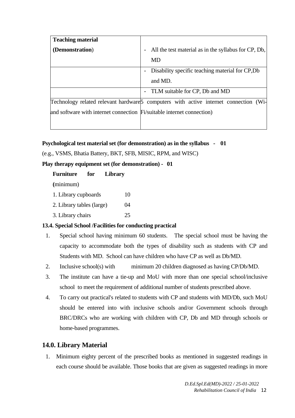| <b>Teaching material</b>                                               |                                                                                       |
|------------------------------------------------------------------------|---------------------------------------------------------------------------------------|
| (Demonstration)                                                        | All the test material as in the syllabus for CP, Db,<br>-                             |
|                                                                        | MD                                                                                    |
|                                                                        | Disability specific teaching material for CP, Db                                      |
|                                                                        | and MD.                                                                               |
|                                                                        | - TLM suitable for CP, Db and MD                                                      |
|                                                                        | Technology related relevant hardware 5 computers with active internet connection (Wi- |
| and software with internet connection Fi/suitable internet connection) |                                                                                       |
|                                                                        |                                                                                       |

**Psychological test material set (for demonstration) as in the syllabus - 01** 

(e.g., VSMS, Bhatia Battery, BKT, SFB, MISIC, RPM, and WISC)

**Play therapy equipment set (for demonstration) - 01** 

| <b>Furniture</b>          | for | <b>Library</b> |    |
|---------------------------|-----|----------------|----|
| (minimum)                 |     |                |    |
| 1. Library cupboards      |     |                | 10 |
| 2. Library tables (large) |     |                | 04 |
| 3. Library chairs         |     |                | 25 |

#### **13.4. Special School /Facilities for conducting practical**

- 1. Special school having minimum 60 students. The special school must be having the capacity to accommodate both the types of disability such as students with CP and Students with MD. School can have children who have CP as well as Db/MD.
- 2. Inclusive school(s) with minimum 20 children diagnosed as having CP/Db/MD.
- 3. The institute can have a tie-up and MoU with more than one special school/inclusive school to meet the requirement of additional number of students prescribed above.
- 4. To carry out practical's related to students with CP and students with MD/Db, such MoU should be entered into with inclusive schools and/or Government schools through BRC/DRCs who are working with children with CP, Db and MD through schools or home-based programmes.

#### **14.0. Library Material**

1. Minimum eighty percent of the prescribed books as mentioned in suggested readings in each course should be available. Those books that are given as suggested readings in more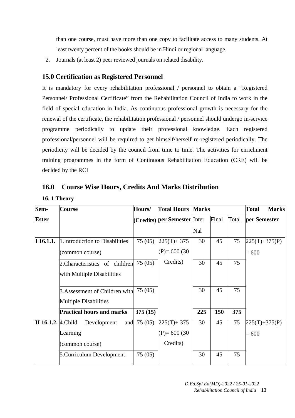than one course, must have more than one copy to facilitate access to many students. At least twenty percent of the books should be in Hindi or regional language.

2. Journals (at least 2) peer reviewed journals on related disability.

#### **15.0 Certification as Registered Personnel**

It is mandatory for every rehabilitation professional / personnel to obtain a "Registered Personnel/ Professional Certificate" from the Rehabilitation Council of India to work in the field of special education in India. As continuous professional growth is necessary for the renewal of the certificate, the rehabilitation professional / personnel should undergo in-service programme periodically to update their professional knowledge. Each registered professional/personnel will be required to get himself/herself re-registered periodically. The periodicity will be decided by the council from time to time. The activities for enrichment training programmes in the form of Continuous Rehabilitation Education (CRE) will be decided by the RCI

#### **16.0 Course Wise Hours, Credits And Marks Distribution**

**16. 1 Theory**

| Sem-                      | Course                           | Hours/  | <b>Total Hours Marks</b>     |     |       |       | <b>Marks</b><br>Total |  |
|---------------------------|----------------------------------|---------|------------------------------|-----|-------|-------|-----------------------|--|
| <b>Ester</b>              |                                  |         | (Credits) per Semester Inter |     | Final | Total | per Semester          |  |
|                           |                                  |         |                              | Nal |       |       |                       |  |
| $\bf{I}$ 16.1.1.          | 1. Introduction to Disabilities  | 75(05)  | $ 225(T)+375 $               | 30  | 45    | 75    | $225(T) + 375(P)$     |  |
|                           | (common course)                  |         | $(P)= 600(30)$               |     |       |       | $= 600$               |  |
|                           | 2. Characteristics of children   | 75(05)  | Credits)                     | 30  | 45    | 75    |                       |  |
|                           | with Multiple Disabilities       |         |                              |     |       |       |                       |  |
|                           | 3. Assessment of Children with   | 75(05)  |                              | 30  | 45    | 75    |                       |  |
|                           | <b>Multiple Disabilities</b>     |         |                              |     |       |       |                       |  |
|                           | <b>Practical hours and marks</b> | 375(15) |                              | 225 | 150   | 375   |                       |  |
| $II$ 16.1.2. $ 4$ . Child | Development<br>and               | 75(05)  | $ 225(T)+375 $               | 30  | 45    | 75    | $225(T) + 375(P)$     |  |
|                           | Learning                         |         | $(P)= 600(30)$               |     |       |       | $= 600$               |  |
|                           | (common course)                  |         | Credits)                     |     |       |       |                       |  |
|                           | 5. Curriculum Development        | 75(05)  |                              | 30  | 45    | 75    |                       |  |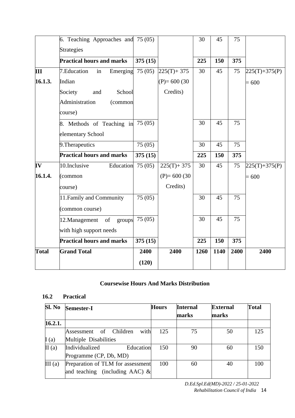|              | 6. Teaching Approaches and 75 (05)      |         |                | 30   | 45   | 75   |                   |
|--------------|-----------------------------------------|---------|----------------|------|------|------|-------------------|
|              | <b>Strategies</b>                       |         |                |      |      |      |                   |
|              | <b>Practical hours and marks</b>        | 375(15) |                | 225  | 150  | 375  |                   |
| Ш            | 7. Education<br>Emerging $75(05)$<br>in |         | $225(T) + 375$ | 30   | 45   | 75   | $225(T) + 375(P)$ |
| 16.1.3.      | Indian                                  |         | $(P)= 600(30)$ |      |      |      | $= 600$           |
|              | School<br>Society<br>and                |         | Credits)       |      |      |      |                   |
|              | Administration<br>(common               |         |                |      |      |      |                   |
|              | course)                                 |         |                |      |      |      |                   |
|              | 8. Methods of Teaching in               | 75(05)  |                | 30   | 45   | 75   |                   |
|              | elementary School                       |         |                |      |      |      |                   |
|              | 9. Therapeutics                         | 75 (05) |                | 30   | 45   | 75   |                   |
|              | <b>Practical hours and marks</b>        | 375(15) |                | 225  | 150  | 375  |                   |
| IV           | 10.Inclusive<br>Education               | 75(05)  | $225(T) + 375$ | 30   | 45   | 75   | $225(T) + 375(P)$ |
| 16.1.4.      | (common                                 |         | $(P)= 600(30)$ |      |      |      | $= 600$           |
|              | course)                                 |         | Credits)       |      |      |      |                   |
|              | 11. Family and Community                | 75(05)  |                | 30   | 45   | 75   |                   |
|              | (common course)                         |         |                |      |      |      |                   |
|              | 12. Management<br>of<br>groups          | 75(05)  |                | 30   | 45   | 75   |                   |
|              | with high support needs                 |         |                |      |      |      |                   |
|              | <b>Practical hours and marks</b>        | 375(15) |                | 225  | 150  | 375  |                   |
| <b>Total</b> | <b>Grand Total</b>                      | 2400    | 2400           | 1260 | 1140 | 2400 | 2400              |
|              |                                         | (120)   |                |      |      |      |                   |

#### **Coursewise Hours And Marks Distribution**

#### **16.2 Practical**

| Sl. No  | <b>Semester-I</b>                 | <b>Hours</b> | <b>Internal</b><br>marks | <b>External</b><br>marks | <b>Total</b> |
|---------|-----------------------------------|--------------|--------------------------|--------------------------|--------------|
| 16.2.1. |                                   |              |                          |                          |              |
|         | with<br>Assessment of Children    | 125          | 75                       | 50                       | 125          |
| I(a)    | Multiple Disabilities             |              |                          |                          |              |
| II(a)   | Individualized<br>Education       | 150          | 90                       | 60                       | 150          |
|         | Programme (CP, Db, MD)            |              |                          |                          |              |
| III(a)  | Preparation of TLM for assessment | 100          | 60                       | 40                       | 100          |
|         | and teaching (including AAC) $\&$ |              |                          |                          |              |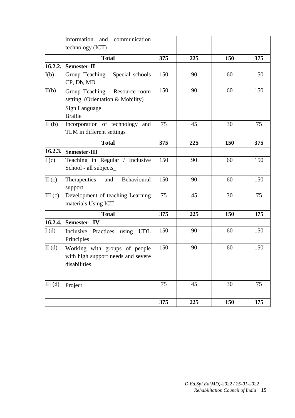|                    | information and<br>communication                                                     |     |     |     |     |
|--------------------|--------------------------------------------------------------------------------------|-----|-----|-----|-----|
|                    | technology (ICT)                                                                     |     |     |     |     |
|                    | <b>Total</b>                                                                         | 375 | 225 | 150 | 375 |
| 16.2.2.            | Semester-II                                                                          |     |     |     |     |
| I(b)               | Group Teaching - Special schools<br>CP, Db, MD                                       | 150 | 90  | 60  | 150 |
| II(b)              | Group Teaching - Resource room<br>setting, (Orientation & Mobility)                  | 150 | 90  | 60  | 150 |
|                    | Sign Language<br><b>Braille</b>                                                      |     |     |     |     |
| III(b)             | Incorporation of technology<br>and<br>TLM in different settings                      | 75  | 45  | 30  | 75  |
|                    | <b>Total</b>                                                                         | 375 | 225 | 150 | 375 |
| 16.2.3.            | <b>Semester-III</b>                                                                  |     |     |     |     |
| I(c)               | Teaching in Regular / Inclusive<br>School - all subjects_                            | 150 | 90  | 60  | 150 |
| II(c)              | Behavioural<br>Therapeutics<br>and<br>support                                        | 150 | 90  | 60  | 150 |
| III <sub>(c)</sub> | Development of teaching Learning<br>materials Using ICT                              | 75  | 45  | 30  | 75  |
|                    | <b>Total</b>                                                                         | 375 | 225 | 150 | 375 |
| 16.2.4.            | <b>Semester-IV</b>                                                                   |     |     |     |     |
| I(d)               | Inclusive Practices using<br><b>UDL</b><br>Principles                                | 150 | 90  | 60  | 150 |
| II(d)              | Working with groups of people<br>with high support needs and severe<br>disabilities. | 150 | 90  | 60  | 150 |
| III(d)             | Project                                                                              | 75  | 45  | 30  | 75  |
|                    |                                                                                      | 375 | 225 | 150 | 375 |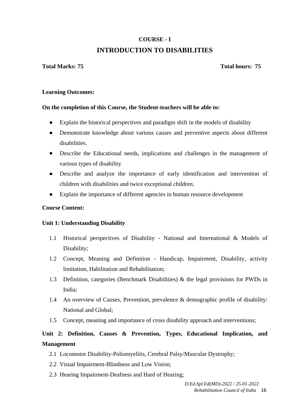## **COURSE - I INTRODUCTION TO DISABILITIES**

#### **Total Marks: 75 Total hours: 75**

#### **Learning Outcomes:**

#### **On the completion of this Course, the Student-teachers will be able to:**

- Explain the historical perspectives and paradigm shift in the models of disability
- Demonstrate knowledge about various causes and preventive aspects about different disabilities.
- Describe the Educational needs, implications and challenges in the management of various types of disability
- Describe and analyze the importance of early identification and intervention of children with disabilities and twice exceptional children.
- Explain the importance of different agencies in human resource development

#### **Course Content:**

#### **Unit 1: Understanding Disability**

- 1.1 Historical perspectives of Disability National and International & Models of Disability;
- 1.2 Concept, Meaning and Definition Handicap, Impairment, Disability, activity limitation, Habilitation and Rehabilitation;
- 1.3 Definition, categories (Benchmark Disabilities) & the legal provisions for PWDs in India;
- 1.4 An overview of Causes, Prevention, prevalence & demographic profile of disability: National and Global;
- 1.5 Concept, meaning and importance of cross disability approach and interventions;

## **Unit 2: Definition, Causes & Prevention, Types, Educational Implication, and Management**

- 2.1 Locomotor Disability-Poliomyelitis, Cerebral Palsy/Muscular Dystrophy;
- 2.2 Visual Impairment-Blindness and Low Vision;
- 2.3 Hearing Impairment-Deafness and Hard of Hearing;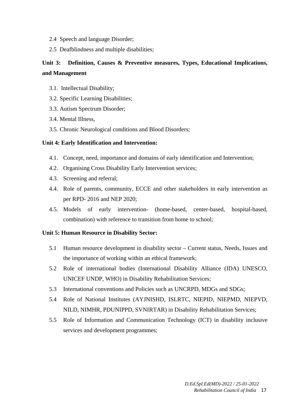- 2.4 Speech and language Disorder;
- 2.5 Deafblindness and multiple disabilities;

## **Unit 3: Definition, Causes & Preventive measures, Types, Educational Implications, and Management**

- 3.1. Intellectual Disability;
- 3.2. Specific Learning Disabilities;
- 3.3. Autism Spectrum Disorder;
- 3.4. Mental Illness,
- 3.5. Chronic Neurological conditions and Blood Disorders;

#### **Unit 4: Early Identification and Intervention:**

- 4.1. Concept, need, importance and domains of early identification and Intervention;
- 4.2. Organising Cross Disability Early Intervention services;
- 4.3. Screening and referral;
- 4.4. Role of parents, community, ECCE and other stakeholders in early intervention as per RPD- 2016 and NEP 2020;
- 4.5. Models of early intervention- (home-based, center-based, hospital-based, combination) with reference to transition from home to school;

#### **Unit 5: Human Resource in Disability Sector:**

- 5.1 Human resource development in disability sector Current status, Needs, Issues and the importance of working within an ethical framework;
- 5.2 Role of international bodies (International Disability Alliance (IDA) UNESCO, UNICEF UNDP, WHO) in Disability Rehabilitation Services;
- 5.3 International conventions and Policies such as UNCRPD, MDGs and SDGs;
- 5.4 Role of National Institutes (AYJNISHD, ISLRTC, NIEPID, NIEPMD, NIEPVD, NILD, NIMHR, PDUNIPPD, SVNIRTAR) in Disability Rehabilitation Services;
- 5.5 Role of Information and Communication Technology (ICT) in disability inclusive services and development programmes;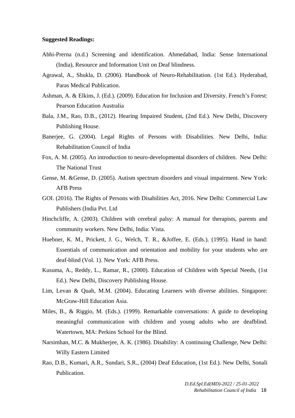#### **Suggested Readings:**

- Abhi-Prerna (n.d.) Screening and identification. Ahmedabad, India: Sense International (India), Resource and Information Unit on Deaf blindness.
- Agrawal, A., Shukla, D. (2006). Handbook of Neuro-Rehabilitation. (1st Ed.). Hyderabad, Paras Medical Publication.
- Ashman, A. & Elkins, J. (Ed.). (2009). Education for Inclusion and Diversity. French's Forest: Pearson Education Australia
- Bala, J.M., Rao, D.B., (2012). Hearing Impaired Student, (2nd Ed.). New Delhi, Discovery Publishing House.
- Banerjee, G. (2004). Legal Rights of Persons with Disabilities. New Delhi, India: Rehabilitation Council of India
- Fox, A. M. (2005). An introduction to neuro-developmental disorders of children. New Delhi: The National Trust
- Gense, M. &Gense, D. (2005). Autism spectrum disorders and visual impairment. New York: AFB Press
- GOI. (2016). The Rights of Persons with Disabilities Act, 2016. New Delhi: Commercial Law Publishers (India Pvt. Ltd
- Hinchcliffe, A. (2003). Children with cerebral palsy: A manual for therapists, parents and community workers. New Delhi, India: Vista.
- Huebner, K. M., Prickett, J. G., Welch, T. R., &Joffee, E. (Eds.). (1995). Hand in hand: Essentials of communication and orientation and mobility for your students who are deaf-blind (Vol. 1). New York: AFB Press.
- Kusuma, A., Reddy, L., Ramar, R., (2000). Education of Children with Special Needs, (1st Ed.). New Delhi, Discovery Publishing House.
- Lim, Levan & Quah, M.M. (2004). Educating Learners with diverse abilities. Singapore: McGraw-Hill Education Asia.
- Miles, B., & Riggio, M. (Eds.). (1999). Remarkable conversations: A guide to developing meaningful communication with children and young adults who are deafblind. Watertown, MA: Perkins School for the Blind.
- Narsimhan, M.C. & Mukherjee, A. K. (1986). Disability: A continuing Challenge, New Delhi: Willy Eastern Limited
- Rao, D.B., Kumari, A.R., Sundari, S.R., (2004) Deaf Education, (1st Ed.). New Delhi, Sonali Publication.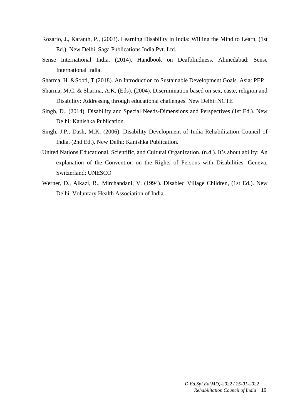- Rozario, J., Karanth, P., (2003). Learning Disability in India: Willing the Mind to Learn, (1st Ed.). New Delhi, Saga Publications India Pvt. Ltd.
- Sense International India. (2014). Handbook on Deafblindness. Ahmedabad: Sense International India.
- Sharma, H. &Sobti, T (2018). An Introduction to Sustainable Development Goals. Asia: PEP
- Sharma, M.C. & Sharma, A.K. (Eds). (2004). Discrimination based on sex, caste, religion and Disability: Addressing through educational challenges. New Delhi: NCTE
- Singh, D., (2014). Disability and Special Needs-Dimensions and Perspectives (1st Ed.). New Delhi: Kanishka Publication.
- Singh, J.P., Dash, M.K. (2006). Disability Development of India Rehabilitation Council of India, (2nd Ed.). New Delhi: Kanishka Publication.
- United Nations Educational, Scientific, and Cultural Organization. (n.d.). It's about ability: An explanation of the Convention on the Rights of Persons with Disabilities. Geneva, Switzerland: UNESCO
- Werner, D., Alkazi, R., Mirchandani, V. (1994). Disabled Village Children, (1st Ed.). New Delhi. Voluntary Health Association of India.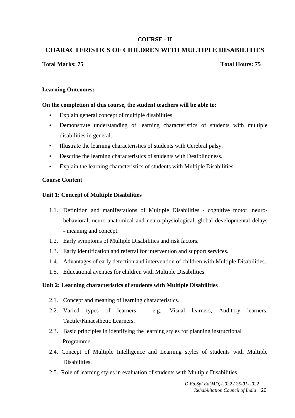#### **COURSE - II**

#### **CHARACTERISTICS OF CHILDREN WITH MULTIPLE DISABILITIES**

#### **Total Marks: 75 Total Hours: 75**

#### **Learning Outcomes:**

#### **On the completion of this course, the student teachers will be able to:**

- Explain general concept of multiple disabilities
- Demonstrate understanding of learning characteristics of students with multiple disabilities in general.
- Illustrate the learning characteristics of students with Cerebral palsy.
- Describe the learning characteristics of students with Deafblindness.
- Explain the learning characteristics of students with Multiple Disabilities.

#### **Course Content**

#### **Unit 1: Concept of Multiple Disabilities**

- 1.1. Definition and manifestations of Multiple Disabilities cognitive motor, neurobehavioral, neuro-anatomical and neuro-physiological, global developmental delays - meaning and concept.
- 1.2. Early symptoms of Multiple Disabilities and risk factors.
- 1.3. Early identification and referral for intervention and support services.
- 1.4. Advantages of early detection and intervention of children with Multiple Disabilities.
- 1.5. Educational avenues for children with Multiple Disabilities.

#### **Unit 2: Learning characteristics of students with Multiple Disabilities**

- 2.1. Concept and meaning of learning characteristics.
- 2.2. Varied types of learners e.g., Visual learners, Auditory learners, Tactile/Kinaesthetic Learners.
- 2.3. Basic principles in identifying the learning styles for planning instructional Programme.
- 2.4. Concept of Multiple Intelligence and Learning styles of students with Multiple Disabilities.
- 2.5. Role of learning styles in evaluation of students with Multiple Disabilities.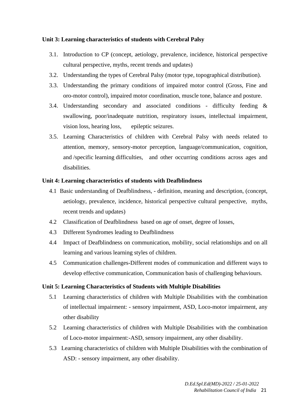#### **Unit 3: Learning characteristics of students with Cerebral Palsy**

- 3.1. Introduction to CP (concept, aetiology, prevalence, incidence, historical perspective cultural perspective, myths, recent trends and updates)
- 3.2. Understanding the types of Cerebral Palsy (motor type, topographical distribution).
- 3.3. Understanding the primary conditions of impaired motor control (Gross, Fine and oro-motor control), impaired motor coordination, muscle tone, balance and posture.
- 3.4. Understanding secondary and associated conditions difficulty feeding & swallowing, poor/inadequate nutrition, respiratory issues, intellectual impairment, vision loss, hearing loss, epileptic seizures.
- 3.5. Learning Characteristics of children with Cerebral Palsy with needs related to attention, memory, sensory-motor perception, language/communication, cognition, and /specific learning difficulties, and other occurring conditions across ages and disabilities.

#### **Unit 4: Learning characteristics of students with Deafblindness**

- 4.1 Basic understanding of Deafblindness, definition, meaning and description, (concept, aetiology, prevalence, incidence, historical perspective cultural perspective, myths, recent trends and updates)
- 4.2 Classification of Deafblindness based on age of onset, degree of losses,
- 4.3 Different Syndromes leading to Deafblindness
- 4.4 Impact of Deafblindness on communication, mobility, social relationships and on all learning and various learning styles of children.
- 4.5 Communication challenges-Different modes of communication and different ways to develop effective communication, Communication basis of challenging behaviours.

#### **Unit 5: Learning Characteristics of Students with Multiple Disabilities**

- 5.1 Learning characteristics of children with Multiple Disabilities with the combination of intellectual impairment: - sensory impairment, ASD, Loco-motor impairment, any other disability
- 5.2 Learning characteristics of children with Multiple Disabilities with the combination of Loco-motor impairment:-ASD, sensory impairment, any other disability.
- 5.3 Learning characteristics of children with Multiple Disabilities with the combination of ASD: - sensory impairment, any other disability.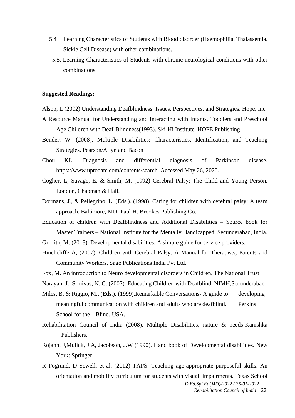- 5.4 Learning Characteristics of Students with Blood disorder (Haemophilia, Thalassemia, Sickle Cell Disease) with other combinations.
- 5.5. Learning Characteristics of Students with chronic neurological conditions with other combinations.

#### **Suggested Readings:**

- Alsop, L (2002) Understanding Deafblindness: Issues, Perspectives, and Strategies. Hope, Inc
- A Resource Manual for Understanding and Interacting with Infants, Toddlers and Preschool Age Children with Deaf-Blindness(1993). Ski-Hi Institute. HOPE Publishing.
- Bender, W. (2008). Multiple Disabilities: Characteristics, Identification, and Teaching Strategies. Pearson/Allyn and Bacon
- Chou KL. Diagnosis and differential diagnosis of Parkinson disease. https://www.uptodate.com/contents/search. Accessed May 26, 2020.
- Cogher, L, Savage, E. & Smith, M. (1992) Cerebral Palsy: The Child and Young Person. London, Chapman & Hall.
- Dormans, J., & Pellegrino, L. (Eds.). (1998). Caring for children with cerebral palsy: A team approach. Baltimore, MD: Paul H. Brookes Publishing Co.
- Education of children with Deafblindness and Additional Disabilities Source book for Master Trainers – National Institute for the Mentally Handicapped, Secunderabad, India.
- Griffith, M. (2018). Developmental disabilities: A simple guide for service providers.
- Hinchcliffe A, (2007). Children with Cerebral Palsy: A Manual for Therapists, Parents and Community Workers, Sage Publications India Pvt Ltd.
- Fox, M. An introduction to Neuro developmental disorders in Children, The National Trust
- Narayan, J., Srinivas, N. C. (2007). Educating Children with Deafblind, NIMH,Secunderabad
- Miles, B. & Riggio, M., (Eds.). (1999).Remarkable Conversations- A guide to developing meaningful communication with children and adults who are deafblind. Perkins School for the Blind, USA.
- Rehabilitation Council of India (2008). Multiple Disabilities, nature & needs-Kanishka Publishers.
- Rojahn, J,Mulick, J.A, Jacobson, J.W (1990). Hand book of Developmental disabilities. New York: Springer.
- *D.Ed.Spl.Ed(MD)-2022 / 25-01-2022*  R Pogrund, D Sewell, et al. (2012) TAPS: Teaching age-appropriate purposeful skills: An orientation and mobility curriculum for students with visual impairments. Texas School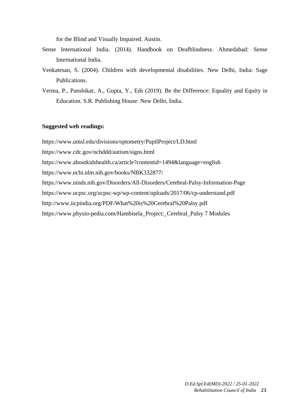for the Blind and Visually Impaired. Austin.

- Sense International India. (2014). Handbook on Deafblindness. Ahmedabad: Sense International India.
- Venkatesan, S. (2004). Children with developmental disabilities. New Delhi, India: Sage Publications.
- Verma, P., Panshikar, A., Gupta, Y., Eds (2019). Be the Difference: Equality and Equity in Education. S.R. Publishing House: New Delhi, India.

#### **Suggested web readings:**

https://www.umsl.edu/divisions/optometry/PupilProject/LD.html https://www.cdc.gov/ncbddd/autism/signs.html https://www.aboutkidshealth.ca/article?contentid=1494&language=english https://www.ncbi.nlm.nih.gov/books/NBK332877/ https://www.ninds.nih.gov/Disorders/All-Disorders/Cerebral-Palsy-Information-Page https://www.ucpsc.org/ucpsc-wp/wp-content/uploads/2017/06/cp-understand.pdf http://www.iicpindia.org/PDF/What%20is%20Cerebral%20Palsy.pdf https://www.physio-pedia.com/Hambisela\_Project:\_Cerebral\_Palsy 7 Modules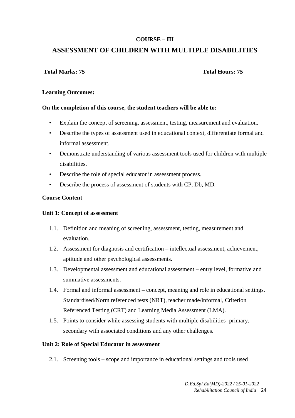#### **COURSE – III**

## **ASSESSMENT OF CHILDREN WITH MULTIPLE DISABILITIES**

#### **Total Marks: 75 Total Hours: 75**

#### **Learning Outcomes:**

#### **On the completion of this course, the student teachers will be able to:**

- Explain the concept of screening, assessment, testing, measurement and evaluation.
- Describe the types of assessment used in educational context, differentiate formal and informal assessment.
- Demonstrate understanding of various assessment tools used for children with multiple disabilities.
- Describe the role of special educator in assessment process.
- Describe the process of assessment of students with CP, Db, MD.

#### **Course Content**

#### **Unit 1: Concept of assessment**

- 1.1. Definition and meaning of screening, assessment, testing, measurement and evaluation.
- 1.2. Assessment for diagnosis and certification intellectual assessment, achievement, aptitude and other psychological assessments.
- 1.3. Developmental assessment and educational assessment entry level, formative and summative assessments.
- 1.4. Formal and informal assessment concept, meaning and role in educational settings. Standardised/Norm referenced tests (NRT), teacher made/informal, Criterion Referenced Testing (CRT) and Learning Media Assessment (LMA).
- 1.5. Points to consider while assessing students with multiple disabilities- primary, secondary with associated conditions and any other challenges.

#### **Unit 2: Role of Special Educator in assessment**

2.1. Screening tools – scope and importance in educational settings and tools used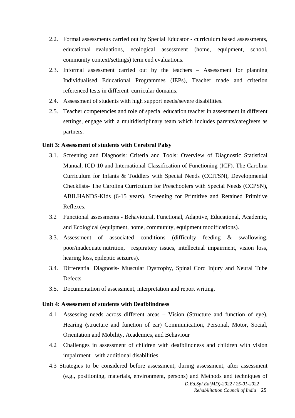- 2.2. Formal assessments carried out by Special Educator curriculum based assessments, educational evaluations, ecological assessment (home, equipment, school, community context/settings) term end evaluations.
- 2.3. Informal assessment carried out by the teachers Assessment for planning Individualised Educational Programmes (IEPs), Teacher made and criterion referenced tests in different curricular domains.
- 2.4. Assessment of students with high support needs/severe disabilities.
- 2.5. Teacher competencies and role of special education teacher in assessment in different settings, engage with a multidisciplinary team which includes parents/caregivers as partners.

#### **Unit 3: Assessment of students with Cerebral Palsy**

- 3.1. Screening and Diagnosis: Criteria and Tools: Overview of Diagnostic Statistical Manual, ICD-10 and International Classification of Functioning (ICF). The Carolina Curriculum for Infants & Toddlers with Special Needs (CCITSN), Developmental Checklists- The Carolina Curriculum for Preschoolers with Special Needs (CCPSN), ABILHANDS-Kids (6-15 years). Screening for Primitive and Retained Primitive Reflexes.
- 3.2 Functional assessments Behavioural, Functional, Adaptive, Educational, Academic, and Ecological (equipment, home, community, equipment modifications).
- 3.3. Assessment of associated conditions (difficulty feeding & swallowing, poor/inadequate nutrition, respiratory issues, intellectual impairment, vision loss, hearing loss, epileptic seizures).
- 3.4. Differential Diagnosis- Muscular Dystrophy, Spinal Cord Injury and Neural Tube Defects.
- 3.5. Documentation of assessment, interpretation and report writing.

#### **Unit 4: Assessment of students with Deafblindness**

- 4.1 Assessing needs across different areas Vision (Structure and function of eye), Hearing **(**structure and function of ear) Communication, Personal, Motor, Social, Orientation and Mobility, Academics, and Behaviour
- 4.2 Challenges in assessment of children with deafblindness and children with vision impairment with additional disabilities
- *D.Ed.Spl.Ed(MD)-2022 / 25-01-2022*  4.3 Strategies to be considered before assessment, during assessment, after assessment (e.g., positioning, materials, environment, persons) and Methods and techniques of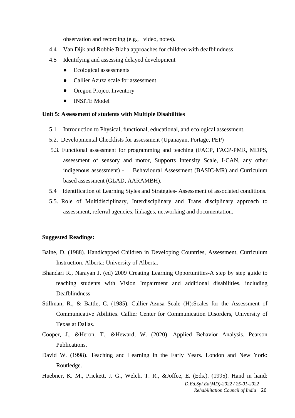observation and recording (e.g., video, notes).

- 4.4 Van Dijk and Robbie Blaha approaches for children with deafblindness
- 4.5 Identifying and assessing delayed development
	- Ecological assessments
	- Callier Azuza scale for assessment
	- Oregon Project Inventory
	- INSITE Model

#### **Unit 5: Assessment of students with Multiple Disabilities**

- 5.1 Introduction to Physical, functional, educational, and ecological assessment.
- 5.2. Developmental Checklists for assessment (Upanayan, Portage, PEP)
- 5.3. Functional assessment for programming and teaching (FACP, FACP-PMR, MDPS, assessment of sensory and motor, Supports Intensity Scale, I-CAN, any other indigenous assessment) - Behavioural Assessment (BASIC-MR) and Curriculum based assessment (GLAD, AARAMBH).
- 5.4 Identification of Learning Styles and Strategies- Assessment of associated conditions.
- 5.5. Role of Multidisciplinary, Interdisciplinary and Trans disciplinary approach to assessment, referral agencies, linkages, networking and documentation.

#### **Suggested Readings:**

- Baine, D. (1988). Handicapped Children in Developing Countries, Assessment, Curriculum Instruction. Alberta: University of Alberta.
- Bhandari R., Narayan J. (ed) 2009 Creating Learning Opportunities-A step by step guide to teaching students with Vision Impairment and additional disabilities, including Deafblindness
- Stillman, R., & Battle, C. (1985). Callier-Azusa Scale (H):Scales for the Assessment of Communicative Abilities. Callier Center for Communication Disorders, University of Texas at Dallas.
- Cooper, J., &Heron, T., &Heward, W. (2020). Applied Behavior Analysis. Pearson Publications.
- David W. (1998). Teaching and Learning in the Early Years. London and New York: Routledge.

*D.Ed.Spl.Ed(MD)-2022 / 25-01-2022 Rehabilitation Council of India* 26 Huebner, K. M., Prickett, J. G., Welch, T. R., &Joffee, E. (Eds.). (1995). Hand in hand: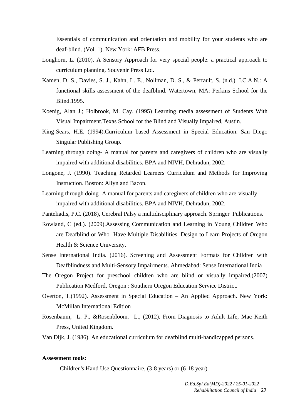Essentials of communication and orientation and mobility for your students who are deaf-blind. (Vol. 1). New York: AFB Press.

- Longhorn, L. (2010). A Sensory Approach for very special people: a practical approach to curriculum planning. Souvenir Press Ltd.
- Kamen, D. S., Davies, S. J., Kahn, L. E., Nollman, D. S., & Perrault, S. (n.d.). I.C.A.N.: A functional skills assessment of the deafblind. Watertown, MA: Perkins School for the Blind.1995.
- Koenig, Alan J.; Holbrook, M. Cay. (1995) Learning media assessment of Students With Visual Impairment.Texas School for the Blind and Visually Impaired, Austin.
- King-Sears, H.E. (1994).Curriculum based Assessment in Special Education. San Diego Singular Publishing Group.
- Learning through doing- A manual for parents and caregivers of children who are visually impaired with additional disabilities. BPA and NIVH, Dehradun, 2002.
- Longone, J. (1990). Teaching Retarded Learners Curriculum and Methods for Improving Instruction. Boston: Allyn and Bacon.
- Learning through doing- A manual for parents and caregivers of children who are visually impaired with additional disabilities. BPA and NIVH, Dehradun, 2002.
- Panteliadis, P.C. (2018), Cerebral Palsy a multidisciplinary approach. Springer Publications.
- Rowland, C (ed.). (2009).Assessing Communication and Learning in Young Children Who are Deafblind or Who Have Multiple Disabilities. Design to Learn Projects of Oregon Health & Science University.
- Sense International India. (2016). Screening and Assessment Formats for Children with Deafblindness and Multi-Sensory Impairments. Ahmedabad: Sense International India
- The Oregon Project for preschool children who are blind or visually impaired,(2007) Publication Medford, Oregon : Southern Oregon Education Service District.
- Overton, T.(1992). Assessment in Special Education An Applied Approach. New York: McMillan International Edition
- Rosenbaum, L. P., &Rosenbloom. L., (2012). From Diagnosis to Adult Life, Mac Keith Press, United Kingdom.
- Van Dijk, J. (1986). An educational curriculum for deafblind multi-handicapped persons.

#### **Assessment tools:**

- Children's Hand Use Questionnaire, (3-8 years) or (6-18 year)-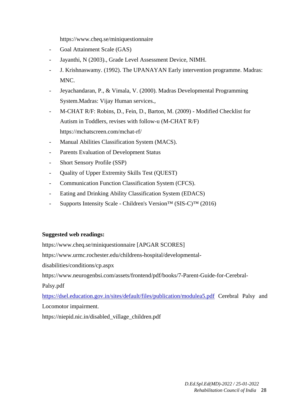https://www.cheq.se/miniquestionnaire

- Goal Attainment Scale (GAS)
- Jayanthi, N (2003)., Grade Level Assessment Device, NIMH.
- J. Krishnaswamy. (1992). The UPANAYAN Early intervention programme. Madras: MNC.
- Jeyachandaran, P., & Vimala, V. (2000). Madras Developmental Programming System.Madras: Vijay Human services.,
- M-CHAT R/F: Robins, D., Fein, D., Barton, M. (2009) Modified Checklist for Autism in Toddlers, revises with follow-u (M-CHAT R/F) https://mchatscreen.com/mchat-rf/
- Manual Abilities Classification System (MACS).
- Parents Evaluation of Development Status
- Short Sensory Profile (SSP)
- Quality of Upper Extremity Skills Test (QUEST)
- Communication Function Classification System (CFCS).
- Eating and Drinking Ability Classification System (EDACS)
- Supports Intensity Scale Children's Version™ (SIS-C)™ (2016)

#### **Suggested web readings:**

https://www.cheq.se/miniquestionnaire [APGAR SCORES] https://www.urmc.rochester.edu/childrens-hospital/developmentaldisabilities/conditions/cp.aspx https://www.neurogenbsi.com/assets/frontend/pdf/books/7-Parent-Guide-for-Cerebral-Palsy.pdf https://dsel.education.gov.in/sites/default/files/publication/modulea5.pdf Cerebral Palsy and

Locomotor impairment.

https://niepid.nic.in/disabled\_village\_children.pdf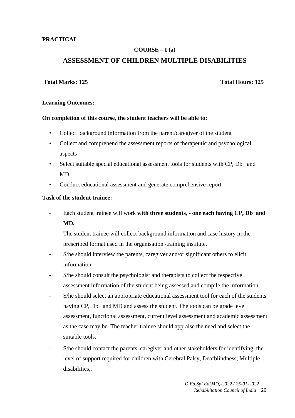#### **PRACTICAL**

#### **COURSE – I (a)**

#### **ASSESSMENT OF CHILDREN MULTIPLE DISABILITIES**

#### **Total Marks: 125 Total Hours: 125**

#### **Learning Outcomes:**

#### **On completion of this course, the student teachers will be able to:**

- Collect background information from the parent/caregiver of the student
- Collect and comprehend the assessment reports of therapeutic and psychological aspects
- Select suitable special educational assessment tools for students with CP, Db and MD.
- Conduct educational assessment and generate comprehensive report

#### **Task of the student trainee:**

- Each student trainee will work **with three students, one each having CP, Db and MD.**
- The student trainee will collect background information and case history in the prescribed format used in the organisation /training institute.
- S/he should interview the parents, caregiver and/or significant others to elicit information.
- S/he should consult the psychologist and therapists to collect the respective assessment information of the student being assessed and compile the information.
- S/he should select an appropriate educational assessment tool for each of the students having CP, Db and MD and assess the student. The tools can be grade level assessment, functional assessment, current level assessment and academic assessment as the case may be. The teacher trainee should appraise the need and select the suitable tools.
- S/he should contact the parents, caregiver and other stakeholders for identifying the level of support required for children with Cerebral Palsy, Deafblindness, Multiple disabilities,.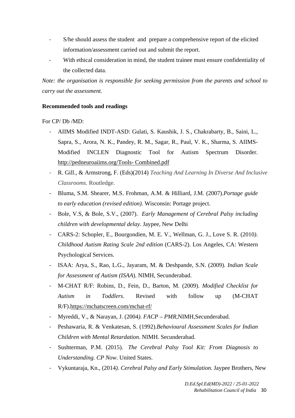- S/he should assess the student and prepare a comprehensive report of the elicited information/assessment carried out and submit the report.
- With ethical consideration in mind, the student trainee must ensure confidentiality of the collected data.

*Note: the organisation is responsible for seeking permission from the parents and school to carry out the assessment.* 

#### **Recommended tools and readings**

#### For CP/ Db /MD:

- AIIMS Modified INDT-ASD: Gulati, S. Kaushik, J. S., Chakrabarty, B., Saini, L., Sapra, S., Arora, N. K., Pandey, R. M., Sagar, R., Paul, V. K., Sharma, S. AIIMS-Modified INCLEN Diagnostic Tool for Autism Spectrum Disorder. http://pedneuroaiims.org/Tools- Combined.pdf
- R. Gill., & Armstrong, F. (Eds)(2014) *Teaching And Learning In Diverse And Inclusive Classrooms.* Routledge.
- Bluma, S.M. Shearer, M.S. Frohman, A.M. & Hilliard, J.M. (2007).*Portage guide to early education (revised edition)*. Wisconsin: Portage project.
- Bole, V.S, & Bole, S.V., (2007). *Early Management of Cerebral Palsy including children with developmental delay*. Jaypee, New Delhi
- CARS-2: Schopler, E., Bourgondien, M. E. V., Wellman, G. J., Love S. R. (2010*). Childhood Autism Rating Scale 2nd edition* (CARS-2). Los Angeles, CA: Western Psychological Services.
- ISAA: Arya, S., Rao, L.G., Jayaram, M. & Deshpande, S.N. (2009). *Indian Scale for Assessment of Autism (ISAA*). NIMH, Secunderabad.
- M-CHAT R/F: Robins, D., Fein, D., Barton, M. (2009). *Modified Checklist for Autism in Toddlers*. Revised with follow up (M-CHAT R/F).https://mchatscreen.com/mchat-rf/
- Myreddi, V., & Narayan, J. (2004*). FACP PMR,*NIMH,Secunderabad.
- Peshawaria, R. & Venkatesan, S. (1992).*Behavioural Assessment Scales for Indian Children with Mental Retardation*. NIMH. Secunderabad.
- Sushterman, P.M. (2015). *The Cerebral Palsy Tool Kit: From Diagnosis to Understanding. CP Now*. United States.
- Vykuntaraja, Kn., (2014*). Cerebral Palsy and Early Stimulation*. Jaypee Brothers, New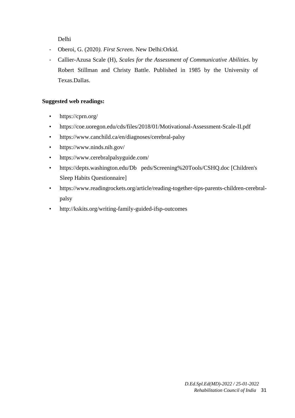Delhi

- Oberoi, G. (2020*). First Screen*. New Delhi:Orkid.
- Callier-Azusa Scale (H), *Scales for the Assessment of Communicative Abilities*. by Robert Stillman and Christy Battle. Published in 1985 by the University of Texas.Dallas.

#### **Suggested web readings:**

- https://cprn.org/
- https://coe.uoregon.edu/cds/files/2018/01/Motivational-Assessment-Scale-II.pdf
- https://www.canchild.ca/en/diagnoses/cerebral-palsy
- https://www.ninds.nih.gov/
- https://www.cerebralpalsyguide.com/
- https://depts.washington.edu/Db peds/Screening%20Tools/CSHQ.doc [Children's Sleep Habits Questionnaire]
- https://www.readingrockets.org/article/reading-together-tips-parents-children-cerebralpalsy
- http://kskits.org/writing-family-guided-ifsp-outcomes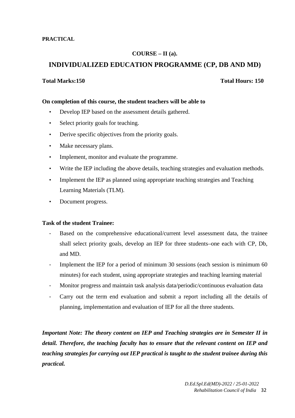#### **COURSE – II (a).**

#### **INDIVIDUALIZED EDUCATION PROGRAMME (CP, DB AND MD)**

#### **Total Marks:150 Total Hours: 150**

#### **On completion of this course, the student teachers will be able to**

- Develop IEP based on the assessment details gathered.
- Select priority goals for teaching.
- Derive specific objectives from the priority goals.
- Make necessary plans.
- Implement, monitor and evaluate the programme.
- Write the IEP including the above details, teaching strategies and evaluation methods.
- Implement the IEP as planned using appropriate teaching strategies and Teaching Learning Materials (TLM).
- Document progress.

#### **Task of the student Trainee:**

- Based on the comprehensive educational/current level assessment data, the trainee shall select priority goals, develop an IEP for three students–one each with CP, Db, and MD.
- Implement the IEP for a period of minimum 30 sessions (each session is minimum 60 minutes) for each student, using appropriate strategies and teaching learning material
- Monitor progress and maintain task analysis data/periodic/continuous evaluation data
- Carry out the term end evaluation and submit a report including all the details of planning, implementation and evaluation of IEP for all the three students.

*Important Note: The theory content on IEP and Teaching strategies are in Semester II in detail. Therefore, the teaching faculty has to ensure that the relevant content on IEP and teaching strategies for carrying out IEP practical is taught to the student trainee during this practical.*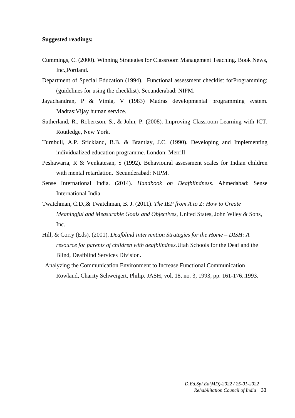#### **Suggested readings:**

- Cummings, C. (2000). Winning Strategies for Classroom Management Teaching. Book News, Inc.,Portland.
- Department of Special Education (1994). Functional assessment checklist forProgramming: (guidelines for using the checklist). Secunderabad: NIPM.
- Jayachandran, P & Vimla, V (1983) Madras developmental programming system. Madras:Vijay human service.
- Sutherland, R., Robertson, S., & John, P. (2008). Improving Classroom Learning with ICT. Routledge, New York.
- Turnbull, A.P. Srickland, B.B. & Brantlay, J.C. (1990). Developing and Implementing individualized education programme. London: Merrill
- Peshawaria, R & Venkatesan, S (1992). Behavioural assessment scales for Indian children with mental retardation. Secunderabad: NIPM.
- Sense International India. (2014). *Handbook on Deafblindness*. Ahmedabad: Sense International India.
- Twatchman, C.D.,& Twatchman, B. J. (2011). *The IEP from A to Z: How to Create Meaningful and Measurable Goals and Objectives*, United States, John Wiley & Sons, Inc.
- Hill, & Corry (Eds). (2001). *Deafblind Intervention Strategies for the Home DISH: A resource for parents of children with deafblindnes.*Utah Schools for the Deaf and the Blind, Deafblind Services Division.
- Analyzing the Communication Environment to Increase Functional Communication Rowland, Charity Schweigert, Philip. JASH, vol. 18, no. 3, 1993, pp. 161-176..1993.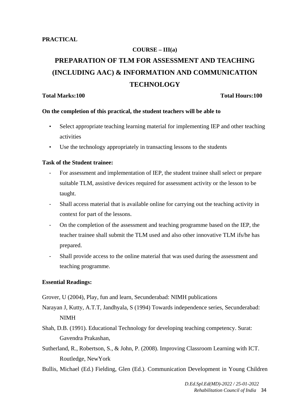# **COURSE – III(a) PREPARATION OF TLM FOR ASSESSMENT AND TEACHING (INCLUDING AAC) & INFORMATION AND COMMUNICATION TECHNOLOGY**

#### **Total Marks:100 Total Hours:100**

#### **On the completion of this practical, the student teachers will be able to**

- Select appropriate teaching learning material for implementing IEP and other teaching activities
- Use the technology appropriately in transacting lessons to the students

#### **Task of the Student trainee:**

- For assessment and implementation of IEP, the student trainee shall select or prepare suitable TLM, assistive devices required for assessment activity or the lesson to be taught.
- Shall access material that is available online for carrying out the teaching activity in context for part of the lessons.
- On the completion of the assessment and teaching programme based on the IEP, the teacher trainee shall submit the TLM used and also other innovative TLM ifs/he has prepared.
- Shall provide access to the online material that was used during the assessment and teaching programme.

#### **Essential Readings:**

Grover, U (2004), Play, fun and learn, Secunderabad: NIMH publications

Narayan J, Kutty, A.T.T, Jandhyala, S (1994) Towards independence series, Secunderabad: NIMH

- Shah, D.B. (1991). Educational Technology for developing teaching competency. Surat: Gavendra Prakashan,
- Sutherland, R., Robertson, S., & John, P. (2008). Improving Classroom Learning with ICT. Routledge, NewYork
- Bullis, Michael (Ed.) Fielding, Glen (Ed.). Communication Development in Young Children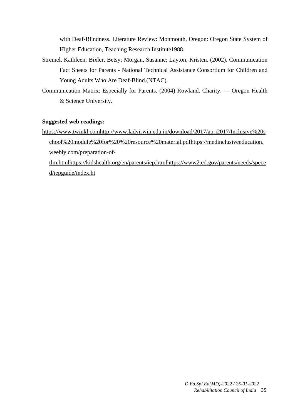with Deaf-Blindness. Literature Review: Monmouth, Oregon: Oregon State System of Higher Education, Teaching Research Institute1988.

- Stremel, Kathleen; Bixler, Betsy; Morgan, Susanne; Layton, Kristen. (2002). Communication Fact Sheets for Parents - National Technical Assistance Consortium for Children and Young Adults Who Are Deaf-Blind.(NTAC).
- Communication Matrix: Especially for Parents. (2004) Rowland. Charity. Oregon Health & Science University.

#### **Suggested web readings:**

https://www.twinkl.comhttp://www.ladyirwin.edu.in/download/2017/apri2017/Inclusive%20s chool%20module%20for%20%20resource%20material.pdfhttps://medinclusiveeducation. weebly.com/preparation-of-

tlm.htmlhttps://kidshealth.org/en/parents/iep.htmlhttps://www2.ed.gov/parents/needs/spece d/iepguide/index.ht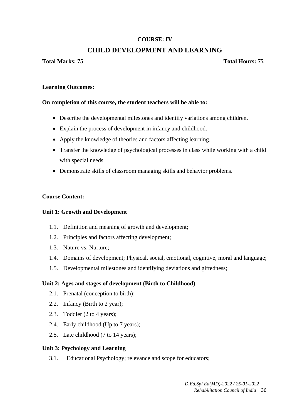## **COURSE: IV**

## **CHILD DEVELOPMENT AND LEARNING**

## **Total Marks: 75 Total Hours: 75**

## **Learning Outcomes:**

## **On completion of this course, the student teachers will be able to:**

- Describe the developmental milestones and identify variations among children.
- Explain the process of development in infancy and childhood.
- Apply the knowledge of theories and factors affecting learning.
- Transfer the knowledge of psychological processes in class while working with a child with special needs.
- Demonstrate skills of classroom managing skills and behavior problems.

## **Course Content:**

## **Unit 1: Growth and Development**

- 1.1. Definition and meaning of growth and development;
- 1.2. Principles and factors affecting development;
- 1.3. Nature vs. Nurture;
- 1.4. Domains of development; Physical, social, emotional, cognitive, moral and language;
- 1.5. Developmental milestones and identifying deviations and giftedness;

## **Unit 2: Ages and stages of development (Birth to Childhood)**

- 2.1. Prenatal (conception to birth);
- 2.2. Infancy (Birth to 2 year);
- 2.3. Toddler (2 to 4 years);
- 2.4. Early childhood (Up to 7 years);
- 2.5. Late childhood (7 to 14 years);

## **Unit 3: Psychology and Learning**

3.1. Educational Psychology; relevance and scope for educators;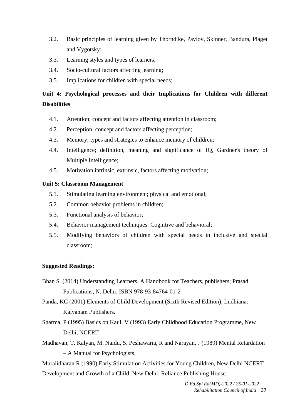- 3.2. Basic principles of learning given by Thorndike, Pavlov, Skinner, Bandura, Piaget and Vygotsky;
- 3.3. Learning styles and types of learners;
- 3.4. Socio-cultural factors affecting learning;
- 3.5. Implications for children with special needs;

# **Unit 4: Psychological processes and their Implications for Children with different Disabilities**

- 4.1. Attention; concept and factors affecting attention in classroom;
- 4.2. Perception; concept and factors affecting perception;
- 4.3. Memory; types and strategies to enhance memory of children;
- 4.4. Intelligence; definition, meaning and significance of IQ, Gardner's theory of Multiple Intelligence;
- 4.5. Motivation intrinsic, extrinsic, factors affecting motivation;

## **Unit 5: Classroom Management**

- 5.1. Stimulating learning environment; physical and emotional;
- 5.2. Common behavior problems in children;
- 5.3. Functional analysis of behavior;
- 5.4. Behavior management techniques: Cognitive and behavioral;
- 5.5. Modifying behaviors of children with special needs in inclusive and special classroom;

## **Suggested Readings:**

- Bhan S. (2014) Understanding Learners, A Handbook for Teachers, publishers; Prasad Publications, N. Delhi, ISBN 978-93-84764-01-2
- Panda, KC (2001) Elements of Child Development (Sixth Revised Edition), Ludhiana: Kalyanam Publishers.
- Sharma, P (1995) Basics on Kaul, V (1993) Early Childhood Education Programme, New Delhi, NCERT
- Madhavan, T. Kalyan, M. Naidu, S. Peshawaria, R and Narayan, J (1989) Mental Retardation – A Manual for Psychologists,

Muralidharan R (1990) Early Stimulation Activities for Young Children, New Delhi NCERT Development and Growth of a Child. New Delhi: Reliance Publishing House.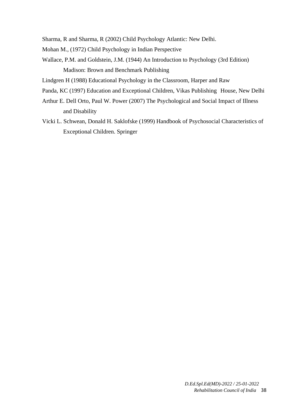Sharma, R and Sharma, R (2002) Child Psychology Atlantic: New Delhi.

- Mohan M., (1972) Child Psychology in Indian Perspective
- Wallace, P.M. and Goldstein, J.M. (1944) An Introduction to Psychology (3rd Edition) Madison: Brown and Benchmark Publishing
- Lindgren H (1988) Educational Psychology in the Classroom, Harper and Raw
- Panda, KC (1997) Education and Exceptional Children, Vikas Publishing House, New Delhi
- Arthur E. Dell Orto, Paul W. Power (2007) The Psychological and Social Impact of Illness and Disability
- Vicki L. Schwean, Donald H. Saklofske (1999) Handbook of Psychosocial Characteristics of Exceptional Children. Springer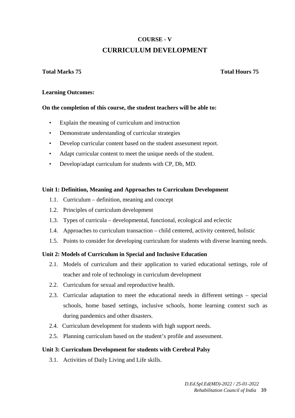# **COURSE - V CURRICULUM DEVELOPMENT**

## **Total Marks 75 Total Hours 75**

## **Learning Outcomes:**

## **On the completion of this course, the student teachers will be able to:**

- Explain the meaning of curriculum and instruction
- Demonstrate understanding of curricular strategies
- Develop curricular content based on the student assessment report.
- Adapt curricular content to meet the unique needs of the student.
- Develop/adapt curriculum for students with CP, Db, MD.

## **Unit 1: Definition, Meaning and Approaches to Curriculum Development**

- 1.1. Curriculum definition, meaning and concept
- 1.2. Principles of curriculum development
- 1.3. Types of curricula developmental, functional, ecological and eclectic
- 1.4. Approaches to curriculum transaction child centered, activity centered, holistic
- 1.5. Points to consider for developing curriculum for students with diverse learning needs.

## **Unit 2: Models of Curriculum in Special and Inclusive Education**

- 2.1. Models of curriculum and their application to varied educational settings, role of teacher and role of technology in curriculum development
- 2.2. Curriculum for sexual and reproductive health.
- 2.3. Curricular adaptation to meet the educational needs in different settings special schools, home based settings, inclusive schools, home learning context such as during pandemics and other disasters.
- 2.4. Curriculum development for students with high support needs.
- 2.5. Planning curriculum based on the student's profile and assessment.

## **Unit 3: Curriculum Development for students with Cerebral Palsy**

3.1. Activities of Daily Living and Life skills.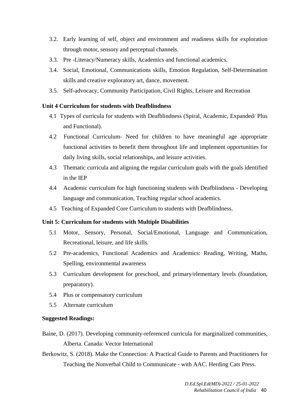- 3.2. Early learning of self, object and environment and readiness skills for exploration through motor, sensory and perceptual channels.
- 3.3. Pre -Literacy/Numeracy skills, Academics and functional academics.
- 3.4. Social, Emotional, Communications skills, Emotion Regulation, Self-Determination skills and creative exploratory art, dance, movement.
- 3.5. Self-advocacy, Community Participation, Civil Rights, Leisure and Recreation

## **Unit 4 Curriculum for students with Deafblindness**

- 4.1 Types of curricula for students with Deafblindness (Spiral, Academic, Expanded/ Plus and Functional).
- 4.2 Functional Curriculum- Need for children to have meaningful age appropriate functional activities to benefit them throughout life and implement opportunities for daily living skills, social relationships, and leisure activities.
- 4.3 Thematic curricula and aligning the regular curriculum goals with the goals identified in the IEP
- 4.4 Academic curriculum for high functioning students with Deafblindness Developing language and communication, Teaching regular school academics.
- 4.5 Teaching of Expanded Core Curriculum to students with Deafblindness.

## **Unit 5: Curriculum for students with Multiple Disabilities**

- 5.1 Motor, Sensory, Personal, Social/Emotional, Language and Communication, Recreational, leisure, and life skills.
- 5.2 Pre-academics, Functional Academics and Academics: Reading, Writing, Maths, Spelling, environmental awareness
- 5.3 Curriculum development for preschool, and primary/elementary levels (foundation, preparatory).
- 5.4 Plus or compensatory curriculum
- 5.5 Alternate curriculum

## **Suggested Readings:**

- Baine, D. (2017). Developing community-referenced curricula for marginalized communities, Alberta. Canada: Vector International
- Berkowitz, S. (2018). Make the Connection: A Practical Guide to Parents and Practitioners for Teaching the Nonverbal Child to Communicate - with AAC. Herding Cats Press.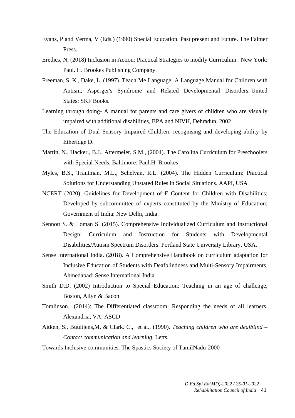- Evans, P and Verma, V (Eds.) (1990) Special Education. Past present and Future. The Faimer Press.
- Eredics, N, (2018) Inclusion in Action: Practical Strategies to modify Curriculum. New York: Paul. H. Brookes Publishing Company.
- Freeman, S. K., Dake, L. (1997). Teach Me Language: A Language Manual for Children with Autism, Asperger's Syndrome and Related Developmental Disorders. United States: SKF Books.
- Learning through doing- A manual for parents and care givers of children who are visually impaired with additional disabilities, BPA and NIVH, Dehradun, 2002
- The Education of Dual Sensory Impaired Children: recognising and developing ability by Etheridge D.
- Martin, N., Hacker., B.J., Attermeier, S.M., (2004). The Carolina Curriculum for Preschoolers with Special Needs, Baltimore: Paul.H. Brookes
- Myles, B.S., Trautman, M.L., Schelvan, R.L. (2004). The Hidden Curriculum: Practical Solutions for Understanding Unstated Rules in Social Situations. AAPI, USA
- NCERT (2020). Guidelines for Development of E Content for Children with Disabilities; Developed by subcommittee of experts constituted by the Ministry of Education; Government of India: New Delhi, India.
- Sennott S. & Loman S. (2015). Comprehensive Individualized Curriculum and Instructional Design: Curriculum and Instruction for Students with Developmental Disabilities/Autism Spectrum Disorders. Portland State University Library. USA.
- Sense International India. (2018). A Comprehensive Handbook on curriculum adaptation for Inclusive Education of Students with Deafblindness and Multi-Sensory Impairments. Ahmedabad: Sense International India
- Smith D.D. (2002) Introduction to Special Education: Teaching in an age of challenge, Boston, Allyn & Bacon
- Tomlinson., (2014): The Differentiated classroom: Responding the needs of all learners. Alexandria, VA: ASCD
- Aitken, S., Buultjens,M, & Clark. C., et al., (1990). *Teaching children who are deafblind Contact communication and learning*, Letts.
- Towards Inclusive communities. The Spastics Society of TamilNadu-2000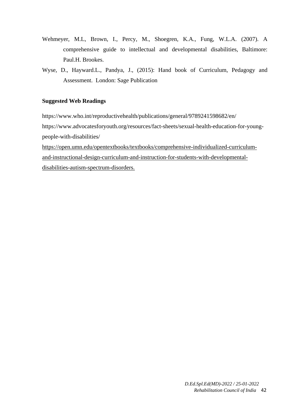- Wehmeyer, M.L, Brown, I., Percy, M., Shoegren, K.A., Fung, W.L.A. (2007). A comprehensive guide to intellectual and developmental disabilities, Baltimore: Paul.H. Brookes.
- Wyse, D., Hayward.L., Pandya, J., (2015): Hand book of Curriculum, Pedagogy and Assessment. London: Sage Publication

## **Suggested Web Readings**

https://www.who.int/reproductivehealth/publications/general/9789241598682/en/

https://www.advocatesforyouth.org/resources/fact-sheets/sexual-health-education-for-youngpeople-with-disabilities/

https://open.umn.edu/opentextbooks/textbooks/comprehensive-individualized-curriculumand-instructional-design-curriculum-and-instruction-for-students-with-developmentaldisabilities-autism-spectrum-disorders.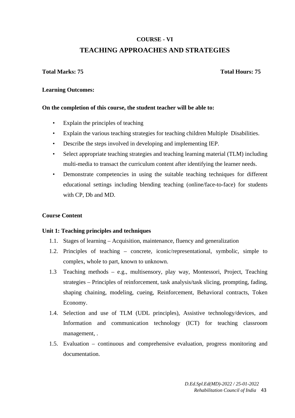# **COURSE - VI TEACHING APPROACHES AND STRATEGIES**

## **Total Marks: 75 Total Hours: 75**

## **Learning Outcomes:**

## **On the completion of this course, the student teacher will be able to:**

- Explain the principles of teaching
- Explain the various teaching strategies for teaching children Multiple Disabilities.
- Describe the steps involved in developing and implementing IEP.
- Select appropriate teaching strategies and teaching learning material (TLM) including multi-media to transact the curriculum content after identifying the learner needs.
- Demonstrate competencies in using the suitable teaching techniques for different educational settings including blending teaching (online/face-to-face) for students with CP, Db and MD.

## **Course Content**

## **Unit 1: Teaching principles and techniques**

- 1.1. Stages of learning Acquisition, maintenance, fluency and generalization
- 1.2. Principles of teaching concrete, iconic/representational, symbolic, simple to complex, whole to part, known to unknown.
- 1.3 Teaching methods e.g., multisensory, play way, Montessori, Project, Teaching strategies – Principles of reinforcement, task analysis/task slicing, prompting, fading, shaping chaining, modeling, cueing, Reinforcement, Behavioral contracts, Token Economy.
- 1.4. Selection and use of TLM (UDL principles), Assistive technology/devices, and Information and communication technology (ICT) for teaching classroom management, .
- 1.5. Evaluation continuous and comprehensive evaluation, progress monitoring and documentation.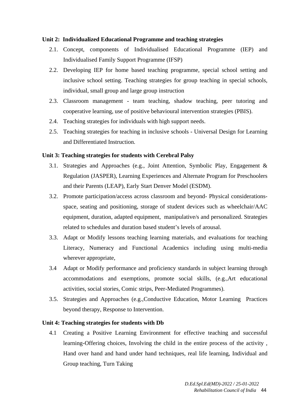## **Unit 2: Individualized Educational Programme and teaching strategies**

- 2.1. Concept, components of Individualised Educational Programme (IEP) and Individualised Family Support Programme (IFSP)
- 2.2. Developing IEP for home based teaching programme, special school setting and inclusive school setting. Teaching strategies for group teaching in special schools, individual, small group and large group instruction
- 2.3. Classroom management team teaching, shadow teaching, peer tutoring and cooperative learning, use of positive behavioural intervention strategies (PBIS).
- 2.4. Teaching strategies for individuals with high support needs.
- 2.5. Teaching strategies for teaching in inclusive schools Universal Design for Learning and Differentiated Instruction.

## **Unit 3: Teaching strategies for students with Cerebral Palsy**

- 3.1. Strategies and Approaches (e.g., Joint Attention, Symbolic Play, Engagement & Regulation (JASPER), Learning Experiences and Alternate Program for Preschoolers and their Parents (LEAP), Early Start Denver Model (ESDM).
- 3.2. Promote participation/access across classroom and beyond- Physical considerationsspace, seating and positioning, storage of student devices such as wheelchair/AAC equipment, duration, adapted equipment, manipulative/s and personalized. Strategies related to schedules and duration based student's levels of arousal.
- 3.3. Adapt or Modify lessons teaching learning materials, and evaluations for teaching Literacy, Numeracy and Functional Academics including using multi-media wherever appropriate,
- 3.4 Adapt or Modify performance and proficiency standards in subject learning through accommodations and exemptions, promote social skills, (e.g.,Art educational activities, social stories, Comic strips, Peer-Mediated Programmes).
- 3.5. Strategies and Approaches (e.g.,Conductive Education, Motor Learning Practices beyond therapy, Response to Intervention.

## **Unit 4: Teaching strategies for students with Db**

4.1 Creating a Positive Learning Environment for effective teaching and successful learning-Offering choices, Involving the child in the entire process of the activity , Hand over hand and hand under hand techniques, real life learning, Individual and Group teaching, Turn Taking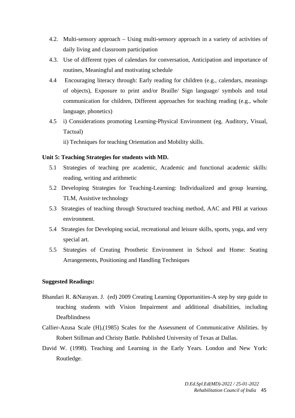- 4.2. Multi-sensory approach Using multi-sensory approach in a variety of activities of daily living and classroom participation
- 4.3. Use of different types of calendars for conversation, Anticipation and importance of routines, Meaningful and motivating schedule
- 4.4 Encouraging literacy through: Early reading for children (e.g., calendars, meanings of objects), Exposure to print and/or Braille/ Sign language/ symbols and total communication for children, Different approaches for teaching reading (e.g., whole language, phonetics)
- 4.5 i) Considerations promoting Learning-Physical Environment (eg. Auditory, Visual, Tactual)
	- ii) Techniques for teaching Orientation and Mobility skills.

## **Unit 5: Teaching Strategies for students with MD.**

- 5.1 Strategies of teaching pre academic, Academic and functional academic skills: reading, writing and arithmetic
- 5.2 Developing Strategies for Teaching-Learning: Individualized and group learning, TLM, Assistive technology
- 5.3 Strategies of teaching through Structured teaching method, AAC and PBI at various environment.
- 5.4 Strategies for Developing social, recreational and leisure skills, sports, yoga, and very special art.
- 5.5 Strategies of Creating Prosthetic Environment in School and Home: Seating Arrangements, Positioning and Handling Techniques

## **Suggested Readings:**

- Bhandari R. &Narayan. J. (ed) 2009 Creating Learning Opportunities-A step by step guide to teaching students with Vision Impairment and additional disabilities, including Deafblindness
- Callier-Azusa Scale (H),(1985) Scales for the Assessment of Communicative Abilities. by Robert Stillman and Christy Battle. Published University of Texas at Dallas.
- David W. (1998). Teaching and Learning in the Early Years. London and New York: Routledge.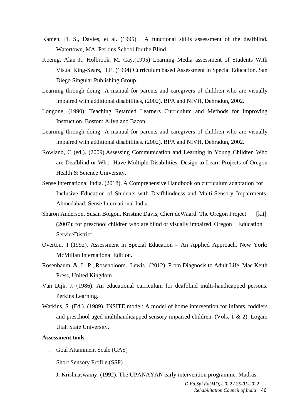- Kamen, D. S., Davies, et al. (1995). A functional skills assessment of the deafblind. Watertown, MA: Perkins School for the Blind.
- Koenig, Alan J.; Holbrook, M. Cay.(1995) Learning Media assessment of Students With Visual King-Sears, H.E. (1994) Curriculum based Assessment in Special Education. San Diego Singular Publishing Group.
- Learning through doing- A manual for parents and caregivers of children who are visually impaired with additional disabilities, (2002). BPA and NIVH, Dehradun, 2002.
- Longone, (1990). Teaching Retarded Learners Curriculum and Methods for Improving Instruction. Boston: Allyn and Bacon.
- Learning through doing- A manual for parents and caregivers of children who are visually impaired with additional disabilities. (2002). BPA and NIVH, Dehradun, 2002.
- Rowland, C (ed.). (2009).Assessing Communication and Learning in Young Children Who are Deafblind or Who Have Multiple Disabilities. Design to Learn Projects of Oregon Health & Science University.
- Sense International India. (2018). A Comprehensive Handbook on curriculum adaptation for Inclusive Education of Students with Deafblindness and Multi-Sensory Impairments. Ahmedabad: Sense International India.
- Sharon Anderson, Susan Boigon, Kristine Davis, Cheri deWaard. The Oregon Project [kit] (2007): for preschool children who are blind or visually impaired. Oregon Education ServiceDistrict.
- Overton, T.(1992). Assessment in Special Education An Applied Approach. New York: McMillan International Edition.
- Rosenbaum, & L. P., Rosenbloom. Lewis., (2012). From Diagnosis to Adult Life, Mac Keith Press, United Kingdom.
- Van Dijk, J. (1986). An educational curriculum for deafblind multi-handicapped persons. Perkins Learning.
- Watkins, S. (Ed.). (1989). INSITE model: A model of home intervention for infants, toddlers and preschool aged multihandicapped sensory impaired children. (Vols. 1 & 2). Logan: Utah State University.

#### **Assessment tools**

- . Goal Attainment Scale (GAS)
- . Short Sensory Profile (SSP)
- . J. Krishnaswamy. (1992). The UPANAYAN early intervention programme. Madras: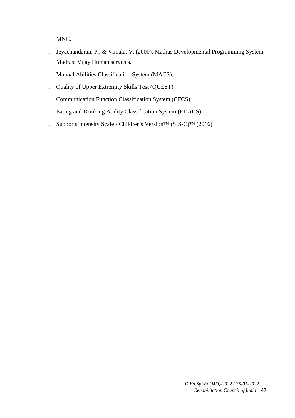MNC.

- . Jeyachandaran, P., & Vimala, V. (2000). Madras Developmental Programming System. Madras: Vijay Human services.
- . Manual Abilities Classification System (MACS).
- . Quality of Upper Extremity Skills Test (QUEST)
- . Communication Function Classification System (CFCS).
- . Eating and Drinking Ability Classification System (EDACS)
- . Supports Intensity Scale Children's Version™ (SIS-C)™ (2016)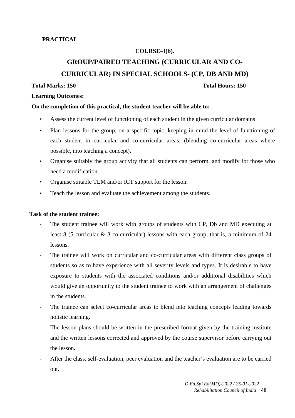## **COURSE–I(b).**

# **GROUP/PAIRED TEACHING (CURRICULAR AND CO-**

**CURRICULAR) IN SPECIAL SCHOOLS- (CP, DB AND MD)** 

## **Total Marks: 150 Total Hours: 150**

#### **Learning Outcomes:**

## **On the completion of this practical, the student teacher will be able to:**

- Assess the current level of functioning of each student in the given curricular domains
- Plan lessons for the group, on a specific topic, keeping in mind the level of functioning of each student in curricular and co-curricular areas, (blending co-curricular areas where possible, into teaching a concept).
- Organise suitably the group activity that all students can perform, and modify for those who need a modification.
- Organise suitable TLM and/or ICT support for the lesson.
- Teach the lesson and evaluate the achievement among the students.

## **Task of the student trainee:**

- The student trainee will work with groups of students with CP, Db and MD executing at least 8 (5 curricular & 3 co-curricular) lessons with each group, that is, a minimum of 24 lessons.
- The trainee will work on curricular and co-curricular areas with different class groups of students so as to have experience with all severity levels and types. It is desirable to have exposure to students with the associated conditions and/or additional disabilities which would give an opportunity to the student trainee to work with an arrangement of challenges in the students.
- The trainee can select co-curricular areas to blend into teaching concepts leading towards holistic learning.
- The lesson plans should be written in the prescribed format given by the training institute and the written lessons corrected and approved by the course supervisor before carrying out the lesson**.**
- After the class, self-evaluation, peer evaluation and the teacher's evaluation are to be carried out.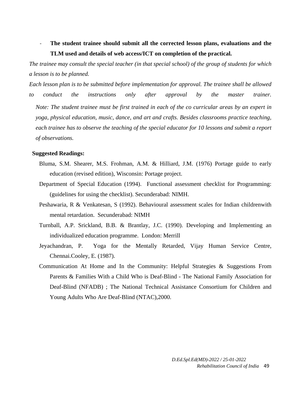- **The student trainee should submit all the corrected lesson plans, evaluations and the TLM used and details of web access/ICT on completion of the practical.** 

*The trainee may consult the special teacher (in that special school) of the group of students for which a lesson is to be planned.* 

*Each lesson plan is to be submitted before implementation for approval. The trainee shall be allowed*  to conduct the instructions only after approval by the master trainer. *Note: The student trainee must be first trained in each of the co curricular areas by an expert in yoga, physical education, music, dance, and art and crafts. Besides classrooms practice teaching, each trainee has to observe the teaching of the special educator for 10 lessons and submit a report of observations.* 

#### **Suggested Readings:**

- Bluma, S.M. Shearer, M.S. Frohman, A.M. & Hilliard, J.M. (1976) Portage guide to early education (revised edition), Wisconsin: Portage project.
- Department of Special Education (1994). Functional assessment checklist for Programming: (guidelines for using the checklist). Secunderabad: NIMH.
- Peshawaria, R & Venkatesan, S (1992). Behavioural assessment scales for Indian childrenwith mental retardation. Secunderabad: NIMH
- Turnball, A.P. Srickland, B.B. & Brantlay, J.C. (1990). Developing and Implementing an individualized education programme. London: Merrill
- Jeyachandran, P. Yoga for the Mentally Retarded, Vijay Human Service Centre, Chennai.Cooley, E. (1987).
- Communication At Home and In the Community: Helpful Strategies & Suggestions From Parents & Families With a Child Who is Deaf-Blind - The National Family Association for Deaf-Blind (NFADB) ; The National Technical Assistance Consortium for Children and Young Adults Who Are Deaf-Blind (NTAC),2000.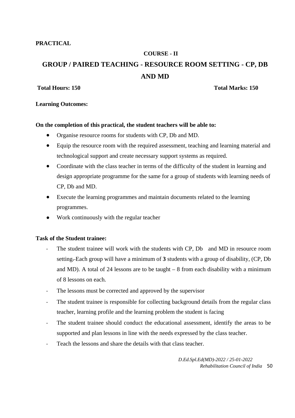**PRACTICAL** 

# **COURSE - II GROUP / PAIRED TEACHING - RESOURCE ROOM SETTING - CP, DB AND MD**

## **Total Hours: 150 Total Marks: 150**

## **Learning Outcomes:**

## **On the completion of this practical, the student teachers will be able to:**

- Organise resource rooms for students with CP, Db and MD.
- Equip the resource room with the required assessment, teaching and learning material and technological support and create necessary support systems as required.
- Coordinate with the class teacher in terms of the difficulty of the student in learning and design appropriate programme for the same for a group of students with learning needs of CP, Db and MD.
- Execute the learning programmes and maintain documents related to the learning programmes.
- Work continuously with the regular teacher

## **Task of the Student trainee:**

- The student trainee will work with the students with CP, Db and MD in resource room setting. Each group will have a minimum of **3** students with a group of disability, (CP, Db and MD). A total of 24 lessons are to be taught  $-8$  from each disability with a minimum of 8 lessons on each.
- The lessons must be corrected and approved by the supervisor
- The student trainee is responsible for collecting background details from the regular class teacher, learning profile and the learning problem the student is facing
- The student trainee should conduct the educational assessment, identify the areas to be supported and plan lessons in line with the needs expressed by the class teacher.
- Teach the lessons and share the details with that class teacher.

*D.Ed.Spl.Ed(MD)-2022 / 25-01-2022 Rehabilitation Council of India* 50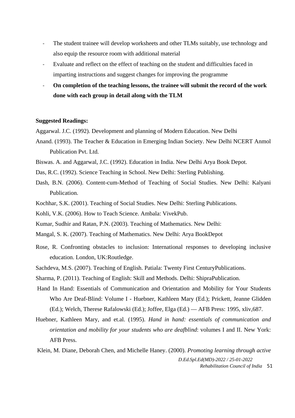- The student trainee will develop worksheets and other TLMs suitably, use technology and also equip the resource room with additional material
- Evaluate and reflect on the effect of teaching on the student and difficulties faced in imparting instructions and suggest changes for improving the programme
- **On completion of the teaching lessons, the trainee will submit the record of the work done with each group in detail along with the TLM**

## **Suggested Readings:**

Aggarwal. J.C. (1992). Development and planning of Modern Education. New Delhi

- Anand. (1993). The Teacher & Education in Emerging Indian Society. New Delhi NCERT Anmol Publication Pvt. Ltd.
- Biswas. A. and Aggarwal, J.C. (1992). Education in India. New Delhi Arya Book Depot.
- Das, R.C. (1992). Science Teaching in School. New Delhi: Sterling Publishing.
- Dash, B.N. (2006). Content-cum-Method of Teaching of Social Studies. New Delhi: Kalyani Publication.
- Kochhar, S.K. (2001). Teaching of Social Studies. New Delhi: Sterling Publications.
- Kohli, V.K. (2006). How to Teach Science. Ambala: VivekPub.
- Kumar, Sudhir and Ratan, P.N. (2003). Teaching of Mathematics. New Delhi:
- Mangal, S. K. (2007). Teaching of Mathematics. New Delhi: Arya BookDepot
- Rose, R. Confronting obstacles to inclusion: International responses to developing inclusive education. London, UK:Routledge.
- Sachdeva, M.S. (2007). Teaching of English. Patiala: Twenty First CenturyPublications.
- Sharma, P. (2011). Teaching of English: Skill and Methods. Delhi: ShipraPublication.
- Hand In Hand: Essentials of Communication and Orientation and Mobility for Your Students Who Are Deaf-Blind: Volume I - Huebner, Kathleen Mary (Ed.); Prickett, Jeanne Glidden (Ed.); Welch, Therese Rafalowski (Ed.); Joffee, Elga (Ed.) — AFB Press: 1995, xliv,687.
- Huebner, Kathleen Mary, and et.al. (1995). *Hand in hand: essentials of communication and orientation and mobility for your students who are deafblind*: volumes I and II. New York: AFB Press.
- *D.Ed.Spl.Ed(MD)-2022 / 25-01-2022 Rehabilitation Council of India* 51 Klein, M. Diane, Deborah Chen, and Michelle Haney. (2000). *Promoting learning through active*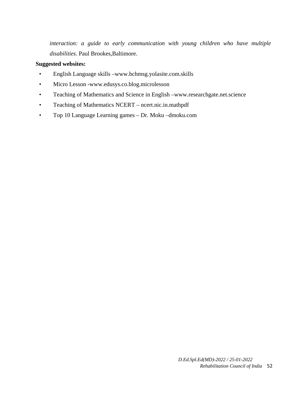*interaction: a guide to early communication with young children who have multiple disabilities*. Paul Brookes,Baltimore.

## **Suggested websites:**

- English Language skills –www.bchmsg.yolasite.com.skills
- Micro Lesson -www.edusys.co.blog.microlesson
- Teaching of Mathematics and Science in English –www.researchgate.net.science
- Teaching of Mathematics NCERT ncert.nic.in.mathpdf
- Top 10 Language Learning games Dr. Moku –dmoku.com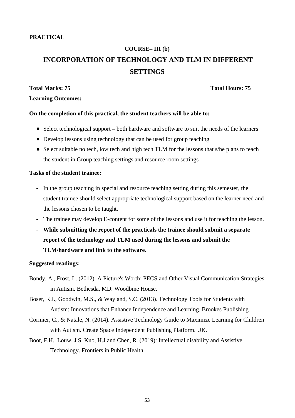# **COURSE– III (b) INCORPORATION OF TECHNOLOGY AND TLM IN DIFFERENT SETTINGS**

## **Total Marks: 75 Total Hours: 75**

## **Learning Outcomes:**

## **On the completion of this practical, the student teachers will be able to:**

- Select technological support both hardware and software to suit the needs of the learners
- Develop lessons using technology that can be used for group teaching
- Select suitable no tech, low tech and high tech TLM for the lessons that s/he plans to teach the student in Group teaching settings and resource room settings

## **Tasks of the student trainee:**

- In the group teaching in special and resource teaching setting during this semester, the student trainee should select appropriate technological support based on the learner need and the lessons chosen to be taught.
- The trainee may develop E-content for some of the lessons and use it for teaching the lesson.
- **While submitting the report of the practicals the trainee should submit a separate report of the technology and TLM used during the lessons and submit the TLM/hardware and link to the software**.

## **Suggested readings:**

- Bondy, A., Frost, L. (2012). A Picture's Worth: PECS and Other Visual Communication Strategies in Autism. Bethesda, MD: Woodbine House.
- Boser, K.I., Goodwin, M.S., & Wayland, S.C. (2013). Technology Tools for Students with Autism: Innovations that Enhance Independence and Learning. Brookes Publishing.
- Cormier, C., & Natale, N. (2014). Assistive Technology Guide to Maximize Learning for Children with Autism. Create Space Independent Publishing Platform. UK.
- Boot, F.H. Louw, J.S, Kuo, H.J and Chen, R. (2019): Intellectual disability and Assistive Technology. Frontiers in Public Health.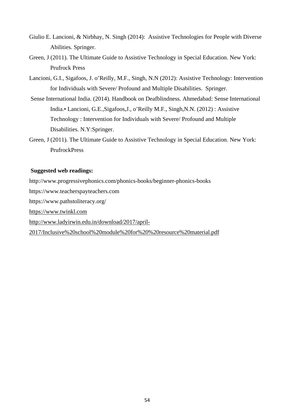- Giulio E. Lancioni, & Nirbhay, N. Singh (2014): Assistive Technologies for People with Diverse Abilities. Springer.
- Green, J (2011). The Ultimate Guide to Assistive Technology in Special Education. New York: Prufrock Press
- Lancioni, G.I., Sigafoos, J. o'Reilly, M.F., Singh, N.N (2012): Assistive Technology: Intervention for Individuals with Severe/ Profound and Multiple Disabilities. Springer.
- Sense International India. (2014). Handbook on Deafblindness. Ahmedabad: Sense International India.• Lancioni, G.E.,Sigafoos,J., o'Reilly M.F., Singh,N.N. (2012) : Assistive Technology : Intervention for Individuals with Severe/ Profound and Multiple Disabilities. N.Y:Springer.
- Green, J (2011). The Ultimate Guide to Assistive Technology in Special Education. New York: PrufrockPress

## **Suggested web readings:**

http://www.progressivephonics.com/phonics-books/beginner-phonics-books

https://www.teacherspayteachers.com

https://www.pathstoliteracy.org/

https://www.twinkl.com

http://www.ladyirwin.edu.in/download/2017/april-

2017/Inclusive%20school%20module%20for%20%20resource%20material.pdf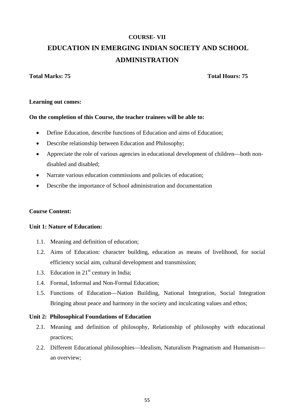# **COURSE- VII EDUCATION IN EMERGING INDIAN SOCIETY AND SCHOOL ADMINISTRATION**

## **Total Marks: 75 Total Hours: 75**

## **Learning out comes:**

## **On the completion of this Course, the teacher trainees will be able to:**

- Define Education, describe functions of Education and aims of Education;
- Describe relationship between Education and Philosophy;
- Appreciate the role of various agencies in educational development of children—both nondisabled and disabled;
- Narrate various education commissions and policies of education;
- Describe the importance of School administration and documentation

## **Course Content:**

## **Unit 1: Nature of Education:**

- 1.1. Meaning and definition of education;
- 1.2. Aims of Education: character building, education as means of livelihood, for social efficiency social aim, cultural development and transmission;
- 1.3. Education in  $21<sup>st</sup>$  century in India;
- 1.4. Formal, Informal and Non-Formal Education;
- 1.5. Functions of Education—Nation Building, National Integration, Social Integration Bringing about peace and harmony in the society and inculcating values and ethos;

## **Unit 2: Philosophical Foundations of Education**

- 2.1. Meaning and definition of philosophy, Relationship of philosophy with educational practices;
- 2.2. Different Educational philosophies—Idealism, Naturalism Pragmatism and Humanism an overview;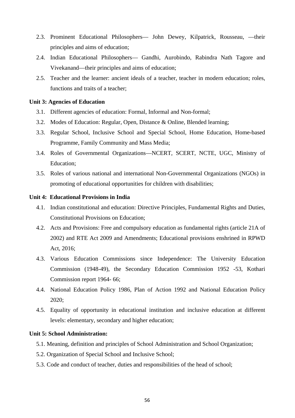- 2.3. Prominent Educational Philosophers— John Dewey, Kilpatrick, Rousseau, —their principles and aims of education;
- 2.4. Indian Educational Philosophers— Gandhi, Aurobindo, Rabindra Nath Tagore and Vivekanand—their principles and aims of education;
- 2.5. Teacher and the learner: ancient ideals of a teacher, teacher in modern education; roles, functions and traits of a teacher;

#### **Unit 3: Agencies of Education**

- 3.1. Different agencies of education: Formal, Informal and Non-formal;
- 3.2. Modes of Education: Regular, Open, Distance & Online, Blended learning;
- 3.3. Regular School, Inclusive School and Special School, Home Education, Home-based Programme, Family Community and Mass Media;
- 3.4. Roles of Governmental Organizations—NCERT, SCERT, NCTE, UGC, Ministry of Education;
- 3.5. Roles of various national and international Non-Governmental Organizations (NGOs) in promoting of educational opportunities for children with disabilities;

#### **Unit 4: Educational Provisions in India**

- 4.1. Indian constitutional and education: Directive Principles, Fundamental Rights and Duties, Constitutional Provisions on Education;
- 4.2. Acts and Provisions: Free and compulsory education as fundamental rights (article 21A of 2002) and RTE Act 2009 and Amendments; Educational provisions enshrined in RPWD Act, 2016;
- 4.3. Various Education Commissions since Independence: The University Education Commission (1948-49), the Secondary Education Commission 1952 -53, Kothari Commission report 1964- 66;
- 4.4. National Education Policy 1986, Plan of Action 1992 and National Education Policy 2020;
- 4.5. Equality of opportunity in educational institution and inclusive education at different levels: elementary, secondary and higher education;

## **Unit 5: School Administration:**

- 5.1. Meaning, definition and principles of School Administration and School Organization;
- 5.2. Organization of Special School and Inclusive School;
- 5.3. Code and conduct of teacher, duties and responsibilities of the head of school;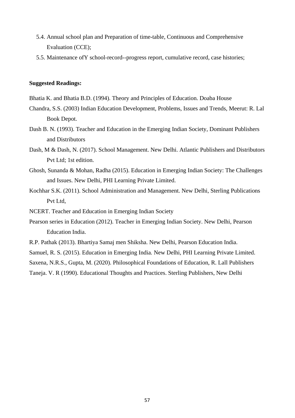- 5.4. Annual school plan and Preparation of time-table, Continuous and Comprehensive Evaluation (CCE);
- 5.5. Maintenance ofY school-record--progress report, cumulative record, case histories;

#### **Suggested Readings:**

- Bhatia K. and Bhatia B.D. (1994). Theory and Principles of Education. Doaba House
- Chandra, S.S. (2003) Indian Education Development, Problems, Issues and Trends, Meerut: R. Lal Book Depot.
- Dash B. N. (1993). Teacher and Education in the Emerging Indian Society, Dominant Publishers and Distributors
- Dash, M & Dash, N. (2017). School Management. New Delhi. Atlantic Publishers and Distributors Pvt Ltd; 1st edition.
- Ghosh, Sunanda & Mohan, Radha (2015). Education in Emerging Indian Society: The Challenges and Issues. New Delhi, PHI Learning Private Limited.
- Kochhar S.K. (2011). School Administration and Management. New Delhi, Sterling Publications Pvt Ltd,
- NCERT. Teacher and Education in Emerging Indian Society
- Pearson series in Education (2012). Teacher in Emerging Indian Society. New Delhi, Pearson Education India.
- R.P. Pathak (2013). Bhartiya Samaj men Shiksha. New Delhi, Pearson Education India.
- Samuel, R. S. (2015). Education in Emerging India*.* New Delhi, PHI Learning Private Limited.

Saxena, N.R.S., Gupta, M. (2020). Philosophical Foundations of Education, R. Lall Publishers

Taneja. V. R (1990). Educational Thoughts and Practices. Sterling Publishers, New Delhi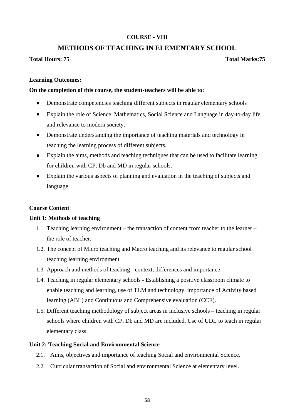## **COURSE - VIII**

## **METHODS OF TEACHING IN ELEMENTARY SCHOOL**

## **Total Hours: 75 Total Marks:75**

## **Learning Outcomes:**

## **On the completion of this course, the student-teachers will be able to:**

- Demonstrate competencies teaching different subjects in regular elementary schools
- Explain the role of Science, Mathematics, Social Science and Language in day-to-day life and relevance to modern society.
- Demonstrate understanding the importance of teaching materials and technology in teaching the learning process of different subjects.
- Explain the aims, methods and teaching techniques that can be used to facilitate learning for children with CP, Db and MD in regular schools.
- Explain the various aspects of planning and evaluation in the teaching of subjects and language.

## **Course Content**

## **Unit 1: Methods of teaching**

- 1.1. Teaching learning environment the transaction of content from teacher to the learner the role of teacher.
- 1.2. The concept of Micro teaching and Macro teaching and its relevance to regular school teaching learning environment
- 1.3. Approach and methods of teaching context, differences and importance
- 1.4. Teaching in regular elementary schools Establishing a positive classroom climate to enable teaching and learning, use of TLM and technology, importance of Activity based learning (ABL) and Continuous and Comprehensive evaluation (CCE).
- 1.5. Different teaching methodology of subject areas in inclusive schools teaching in regular schools where children with CP, Db and MD are included. Use of UDL to teach in regular elementary class.

## **Unit 2: Teaching Social and Environmental Science**

- 2.1. Aims, objectives and importance of teaching Social and environmental Science.
- 2.2. Curricular transaction of Social and environmental Science at elementary level.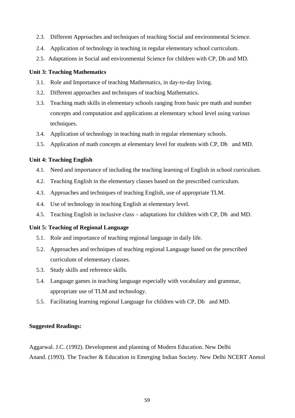- 2.3. Different Approaches and techniques of teaching Social and environmental Science.
- 2.4. Application of technology in teaching in regular elementary school curriculum.
- 2.5. Adaptations in Social and environmental Science for children with CP, Db and MD.

## **Unit 3: Teaching Mathematics**

- 3.1. Role and Importance of teaching Mathematics, in day-to-day living.
- 3.2. Different approaches and techniques of teaching Mathematics.
- 3.3. Teaching math skills in elementary schools ranging from basic pre math and number concepts and computation and applications at elementary school level using various techniques.
- 3.4. Application of technology in teaching math in regular elementary schools.
- 3.5. Application of math concepts at elementary level for students with CP, Db and MD.

## **Unit 4: Teaching English**

- 4.1. Need and importance of including the teaching learning of English in school curriculum.
- 4.2. Teaching English in the elementary classes based on the prescribed curriculum.
- 4.3. Approaches and techniques of teaching English, use of appropriate TLM.
- 4.4. Use of technology in teaching English at elementary level.
- 4.5. Teaching English in inclusive class adaptations for children with CP, Db and MD.

## **Unit 5: Teaching of Regional Language**

- 5.1. Role and importance of teaching regional language in daily life.
- 5.2. Approaches and techniques of teaching regional Language based on the prescribed curriculum of elementary classes.
- 5.3. Study skills and reference skills.
- 5.4. Language games in teaching language especially with vocabulary and grammar, appropriate use of TLM and technology.
- 5.5. Facilitating learning regional Language for children with CP, Db and MD.

## **Suggested Readings:**

Aggarwal. J.C. (1992). Development and planning of Modern Education. New Delhi Anand. (1993). The Teacher & Education in Emerging Indian Society. New Delhi NCERT Anmol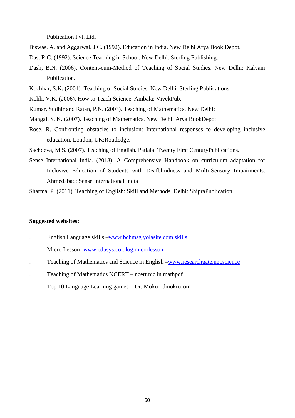Publication Pvt. Ltd.

- Biswas. A. and Aggarwal, J.C. (1992). Education in India. New Delhi Arya Book Depot.
- Das, R.C. (1992). Science Teaching in School. New Delhi: Sterling Publishing.
- Dash, B.N. (2006). Content-cum-Method of Teaching of Social Studies. New Delhi: Kalyani Publication.
- Kochhar, S.K. (2001). Teaching of Social Studies. New Delhi: Sterling Publications.
- Kohli, V.K. (2006). How to Teach Science. Ambala: VivekPub.
- Kumar, Sudhir and Ratan, P.N. (2003). Teaching of Mathematics. New Delhi:
- Mangal, S. K. (2007). Teaching of Mathematics. New Delhi: Arya BookDepot
- Rose, R. Confronting obstacles to inclusion: International responses to developing inclusive education. London, UK:Routledge.
- Sachdeva, M.S. (2007). Teaching of English. Patiala: Twenty First CenturyPublications.
- Sense International India. (2018). A Comprehensive Handbook on curriculum adaptation for Inclusive Education of Students with Deafblindness and Multi-Sensory Impairments. Ahmedabad: Sense International India

Sharma, P. (2011). Teaching of English: Skill and Methods. Delhi: ShipraPublication.

#### **Suggested websites:**

- . English Language skills –www.bchmsg.yolasite.com.skills
- . Micro Lesson -www.edusys.co.blog.microlesson
- . Teaching of Mathematics and Science in English –www.researchgate.net.science
- . Teaching of Mathematics NCERT ncert.nic.in.mathpdf
- . Top 10 Language Learning games Dr. Moku –dmoku.com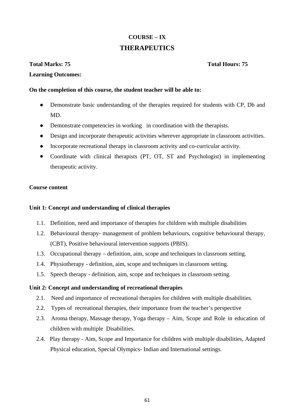# **COURSE – IX THERAPEUTICS**

## **Total Marks: 75 Total Hours: 75**

## **Learning Outcomes:**

## **On the completion of this course, the student teacher will be able to:**

- Demonstrate basic understanding of the therapies required for students with CP, Db and MD.
- Demonstrate competencies in working in coordination with the therapists.
- Design and incorporate therapeutic activities wherever appropriate in classroom activities.
- Incorporate recreational therapy in classroom activity and co-curricular activity.
- Coordinate with clinical therapists (PT, OT, ST and Psychologist) in implementing therapeutic activity.

## **Course content**

## **Unit 1: Concept and understanding of clinical therapies**

- 1.1. Definition, need and importance of therapies for children with multiple disabilities
- 1.2. Behavioural therapy- management of problem behaviours, cognitive behavioural therapy, (CBT), Positive behavioural intervention supports (PBIS).
- 1.3. Occupational therapy definition, aim, scope and techniques in classroom setting.
- 1.4. Physiotherapy definition, aim, scope and techniques in classroom setting.
- 1.5. Speech therapy definition, aim, scope and techniques in classroom setting.

## **Unit 2: Concept and understanding of recreational therapies**

- 2.1. Need and importance of recreational therapies for children with multiple disabilities.
- 2.2. Types of recreational therapies, their importance from the teacher's perspective
- 2.3. Aroma therapy, Massage therapy, Yoga therapy Aim, Scope and Role in education of children with multiple Disabilities.
- 2.4. Play therapy Aim, Scope and Importance for children with multiple disabilities, Adapted Physical education, Special Olympics- Indian and International settings.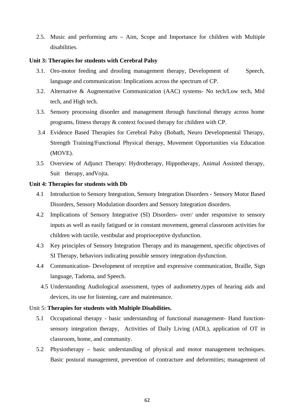2.5. Music and performing arts – Aim, Scope and Importance for children with Multiple disabilities.

#### **Unit 3: Therapies for students with Cerebral Palsy**

- 3.1. Oro-motor feeding and drooling management therapy, Development of Speech, language and communication: Implications across the spectrum of CP.
- 3.2. Alternative & Augmentative Communication (AAC) systems- No tech/Low tech, Mid tech, and High tech.
- 3.3. Sensory processing disorder and management through functional therapy across home programs, fitness therapy & context focused therapy for children with CP.
- 3.4 Evidence Based Therapies for Cerebral Palsy (Bobath, Neuro Developmental Therapy, Strength Training/Functional Physical therapy, Movement Opportunities via Education (MOVE).
- 3.5 Overview of Adjunct Therapy: Hydrotherapy, Hippotherapy, Animal Assisted therapy, Suit therapy, andVojta.

#### **Unit 4: Therapies for students with Db**

- 4.1 Introduction to Sensory Integration, Sensory Integration Disorders Sensory Motor Based Disorders, Sensory Modulation disorders and Sensory Integration disorders.
- 4.2 Implications of Sensory Integrative (SI) Disorders- over/ under responsive to sensory inputs as well as easily fatigued or in constant movement, general classroom activities for children with tactile, vestibular and proprioceptive dysfunction.
- 4.3 Key principles of Sensory Integration Therapy and its management, specific objectives of SI Therapy, behaviors indicating possible sensory integration dysfunction.
- 4.4 Communication- Development of receptive and expressive communication, Braille, Sign language, Tadoma, and Speech.
	- 4.5 Understanding Audiological assessment, types of audiometry,types of hearing aids and devices, its use for listening, care and maintenance.

## Unit 5: **Therapies for students with Multiple Disabilities.**

- 5.1 Occupational therapy basic understanding of functional management- Hand functionsensory integration therapy, Activities of Daily Living (ADL), application of OT in classroom, home, and community.
- 5.2 Physiotherapy basic understanding of physical and motor management techniques. Basic postural management, prevention of contracture and deformities; management of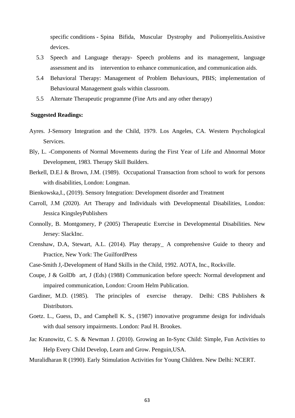specific conditions - Spina Bifida, Muscular Dystrophy and Poliomyelitis.Assistive devices.

- 5.3 Speech and Language therapy- Speech problems and its management, language assessment and its intervention to enhance communication, and communication aids.
- 5.4 Behavioral Therapy: Management of Problem Behaviours, PBIS; implementation of Behavioural Management goals within classroom.
- 5.5 Alternate Therapeutic programme (Fine Arts and any other therapy)

#### **Suggested Readings:**

- Ayres. J-Sensory Integration and the Child, 1979. Los Angeles, CA. Western Psychological Services.
- Bly, L. -Components of Normal Movements during the First Year of Life and Abnormal Motor Development, 1983. Therapy Skill Builders.
- Berkell, D.E.l & Brown, J.M. (1989). Occupational Transaction from school to work for persons with disabilities, London: Longman.
- Bienkowska,I., (2019). Sensory Integration: Development disorder and Treatment
- Carroll, J.M (2020). Art Therapy and Individuals with Developmental Disabilities, London: Jessica KingsleyPublishers
- Connolly, B. Montgomery, P (2005) Therapeutic Exercise in Developmental Disabilities. New Jersey: SlackInc.
- Crenshaw, D.A, Stewart, A.L. (2014). Play therapy\_ A comprehensive Guide to theory and Practice, New York: The GuilfordPress
- Case-Smith J,-Development of Hand Skills in the Child, 1992. AOTA, Inc., Rockville.
- Coupe, J & GolDb art, J (Eds) (1988) Communication before speech: Normal development and impaired communication, London: Croom Helm Publication.
- Gardiner, M.D. (1985). The principles of exercise therapy. Delhi: CBS Publishers & Distributors.
- Goetz. L., Guess, D., and Camphell K. S., (1987) innovative programme design for individuals with dual sensory impairments. London: Paul H. Brookes.
- Jac Kranowitz, C. S. & Newman J. (2010). Growing an In-Sync Child: Simple, Fun Activities to Help Every Child Develop, Learn and Grow. Penguin,USA.
- Muralidharan R (1990). Early Stimulation Activities for Young Children. New Delhi: NCERT.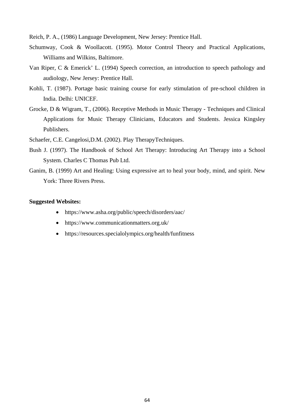Reich, P. A., (1986) Language Development, New Jersey: Prentice Hall.

- Schumway, Cook & Woollacott. (1995). Motor Control Theory and Practical Applications, Williams and Wilkins, Baltimore.
- Van Riper, C & Emerick' L. (1994) Speech correction, an introduction to speech pathology and audiology, New Jersey: Prentice Hall.
- Kohli, T. (1987). Portage basic training course for early stimulation of pre-school children in India. Delhi: UNICEF.
- Grocke, D & Wigram, T., (2006). Receptive Methods in Music Therapy Techniques and Clinical Applications for Music Therapy Clinicians, Educators and Students. Jessica Kingsley Publishers.
- Schaefer, C.E. Cangelosi,D.M. (2002). Play TherapyTechniques.
- Bush J. (1997). The Handbook of School Art Therapy: Introducing Art Therapy into a School System. Charles C Thomas Pub Ltd.
- Ganim, B. (1999) Art and Healing: Using expressive art to heal your body, mind, and spirit. New York: Three Rivers Press.

#### **Suggested Websites:**

- https://www.asha.org/public/speech/disorders/aac/
- https://www.communicationmatters.org.uk/
- https://resources.specialolympics.org/health/funfitness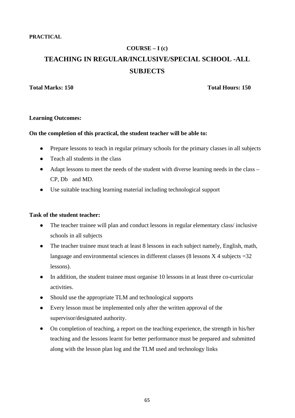**PRACTICAL**

# **COURSE – I (c) TEACHING IN REGULAR/INCLUSIVE/SPECIAL SCHOOL -ALL SUBJECTS**

## **Total Marks: 150 Total Hours: 150**

## **Learning Outcomes:**

## **On the completion of this practical, the student teacher will be able to:**

- Prepare lessons to teach in regular primary schools for the primary classes in all subjects
- Teach all students in the class
- Adapt lessons to meet the needs of the student with diverse learning needs in the class CP, Db and MD.
- Use suitable teaching learning material including technological support

## **Task of the student teacher:**

- The teacher trainee will plan and conduct lessons in regular elementary class/inclusive schools in all subjects
- The teacher trainee must teach at least 8 lessons in each subject namely, English, math, language and environmental sciences in different classes (8 lessons  $X$  4 subjects = 32 lessons).
- In addition, the student trainee must organise 10 lessons in at least three co-curricular activities.
- Should use the appropriate TLM and technological supports
- Every lesson must be implemented only after the written approval of the supervisor/designated authority.
- On completion of teaching, a report on the teaching experience, the strength in his/her teaching and the lessons learnt for better performance must be prepared and submitted along with the lesson plan log and the TLM used and technology links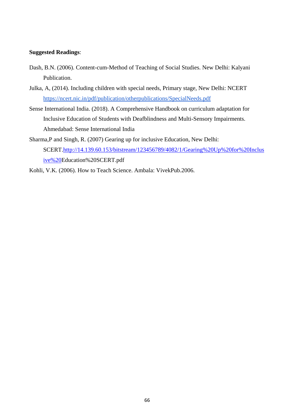## **Suggested Readings**:

- Dash, B.N. (2006). Content-cum-Method of Teaching of Social Studies. New Delhi: Kalyani Publication.
- Julka, A, (2014). Including children with special needs, Primary stage, New Delhi: NCERT https://ncert.nic.in/pdf/publication/otherpublications/SpecialNeeds.pdf
- Sense International India. (2018). A Comprehensive Handbook on curriculum adaptation for Inclusive Education of Students with Deafblindness and Multi-Sensory Impairments. Ahmedabad: Sense International India
- Sharma,P and Singh, R. (2007) Gearing up for inclusive Education, New Delhi: SCERT.http://14.139.60.153/bitstream/123456789/4082/1/Gearing%20Up%20for%20Inclus ive%20Education%20SCERT.pdf
- Kohli, V.K. (2006). How to Teach Science. Ambala: VivekPub.2006.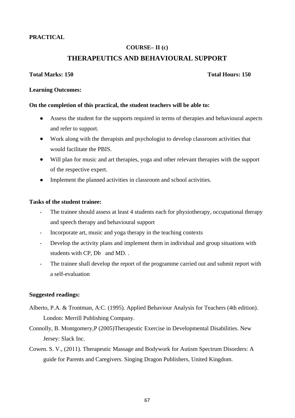## **PRACTICAL**

## **COURSE– II (c)**

## **THERAPEUTICS AND BEHAVIOURAL SUPPORT**

## **Total Marks: 150 Total Hours: 150**

## **Learning Outcomes:**

## **On the completion of this practical, the student teachers will be able to:**

- Assess the student for the supports required in terms of therapies and behavioural aspects and refer to support.
- Work along with the therapists and psychologist to develop classroom activities that would facilitate the PBIS.
- Will plan for music and art therapies, yoga and other relevant therapies with the support of the respective expert.
- Implement the planned activities in classroom and school activities.

## **Tasks of the student trainee:**

- The trainee should assess at least 4 students each for physiotherapy, occupational therapy and speech therapy and behavioural support
- Incorporate art, music and yoga therapy in the teaching contexts
- Develop the activity plans and implement them in individual and group situations with students with CP, Db and MD. .
- The trainee shall develop the report of the programme carried out and submit report with a self-evaluation

## **Suggested readings:**

- Alberto, P.A. & Trontman, A:C. (1995). Applied Behaviour Analysis for Teachers (4th edition). London: Merrill Publishing Company.
- Connolly, B. Montgomery,P (2005)Therapeutic Exercise in Developmental Disabilities. New Jersey: Slack Inc.
- Cowen. S. V., (2011). Therapeutic Massage and Bodywork for Autism Spectrum Disorders: A guide for Parents and Caregivers. Singing Dragon Publishers, United Kingdom.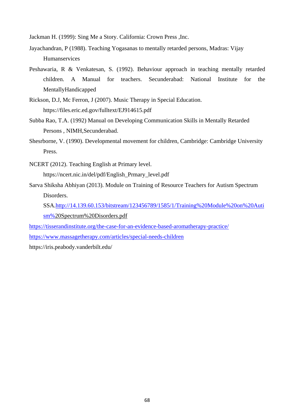Jackman H. (1999): Sing Me a Story. California: Crown Press ,Inc.

- Jayachandran, P (1988). Teaching Yogasanas to mentally retarded persons, Madras: Vijay Humanservices
- Peshawaria, R & Venkatesan, S. (1992). Behaviour approach in teaching mentally retarded children. A Manual for teachers. Secunderabad: National Institute for the MentallyHandicapped
- Rickson, D.J, Mc Ferron, J (2007). Music Therapy in Special Education. https://files.eric.ed.gov/fulltext/EJ914615.pdf
- Subba Rao, T.A. (1992) Manual on Developing Communication Skills in Mentally Retarded Persons , NIMH,Secunderabad.
- Shesrborne, V. (1990). Developmental movement for children, Cambridge: Cambridge University Press.
- NCERT (2012). Teaching English at Primary level. https://ncert.nic.in/del/pdf/English\_Prmary\_level.pdf
- Sarva Shiksha Abhiyan (2013). Module on Training of Resource Teachers for Autism Spectrum Disorders.

SSA.http://14.139.60.153/bitstream/123456789/1585/1/Training%20Module%20on%20Auti sm%20Spectrum%20Disorders.pdf

https://tisserandinstitute.org/the-case-for-an-evidence-based-aromatherapy-practice/

https://www.massagetherapy.com/articles/special-needs-children

https://iris.peabody.vanderbilt.edu/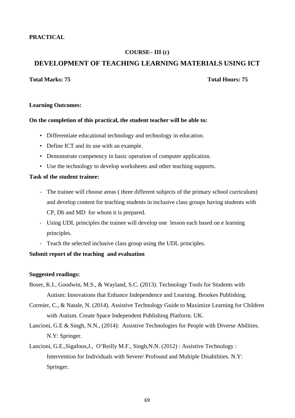## **PRACTICAL**

## **COURSE– III (c)**

## **DEVELOPMENT OF TEACHING LEARNING MATERIALS USING ICT**

## **Total Marks: 75 Total Hours: 75**

#### **Learning Outcomes:**

#### **On the completion of this practical, the student teacher will be able to:**

- Differentiate educational technology and technology in education.
- Define ICT and its use with an example.
- Demonstrate competency in basic operation of computer application.
- Use the technology to develop worksheets and other teaching supports.

## **Task of the student trainee:**

- The trainee will choose areas ( three different subjects of the primary school curriculum) and develop content for teaching students in inclusive class groups having students with CP, Db and MD for whom it is prepared.
- Using UDL principles the trainee will develop one lesson each based on e learning principles.
- Teach the selected inclusive class group using the UDL principles.

## **Submit report of the teaching and evaluation**

#### **Suggested readings:**

- Boser, K.I., Goodwin, M.S., & Wayland, S.C. (2013). Technology Tools for Students with Autism: Innovations that Enhance Independence and Learning. Brookes Publishing.
- Cormier, C., & Natale, N. (2014). Assistive Technology Guide to Maximize Learning for Children with Autism. Create Space Independent Publishing Platform. UK.
- Lancioni, G.E & Singh, N.N., (2014): Assistive Technologies for People with Diverse Abilities. N.Y: Springer.
- Lancioni, G.E.,Sigafoos,J., O'Reilly M.F., Singh,N.N. (2012) : Assistive Technology : Intervention for Individuals with Severe/ Profound and Multiple Disabilities. N.Y: Springer.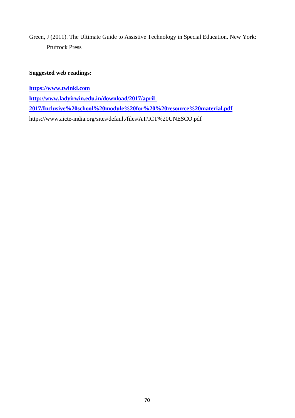Green, J (2011). The Ultimate Guide to Assistive Technology in Special Education. New York: Prufrock Press

## **Suggested web readings:**

**https://www.twinkl.com** 

**http://www.ladyirwin.edu.in/download/2017/april-**

**2017/Inclusive%20school%20module%20for%20%20resource%20material.pdf**

https://www.aicte-india.org/sites/default/files/AT/ICT%20UNESCO.pdf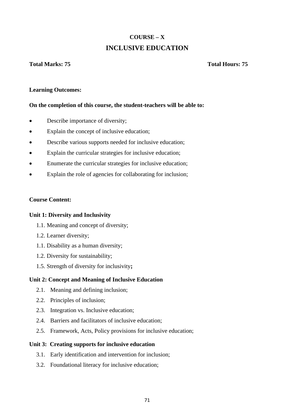# **COURSE – X INCLUSIVE EDUCATION**

## **Total Marks: 75 Total Hours: 75**

## **Learning Outcomes:**

## **On the completion of this course, the student-teachers will be able to:**

- Describe importance of diversity;
- Explain the concept of inclusive education;
- Describe various supports needed for inclusive education;
- Explain the curricular strategies for inclusive education;
- Enumerate the curricular strategies for inclusive education;
- Explain the role of agencies for collaborating for inclusion;

## **Course Content:**

## **Unit 1: Diversity and Inclusivity**

- 1.1. Meaning and concept of diversity;
- 1.2. Learner diversity;
- 1.1. Disability as a human diversity;
- 1.2. Diversity for sustainability;
- 1.5. Strength of diversity for inclusivity**;**

## **Unit 2: Concept and Meaning of Inclusive Education**

- 2.1. Meaning and defining inclusion;
- 2.2. Principles of inclusion;
- 2.3. Integration vs. Inclusive education;
- 2.4. Barriers and facilitators of inclusive education;
- 2.5. Framework, Acts, Policy provisions for inclusive education;

#### **Unit 3: Creating supports for inclusive education**

- 3.1. Early identification and intervention for inclusion;
- 3.2. Foundational literacy for inclusive education;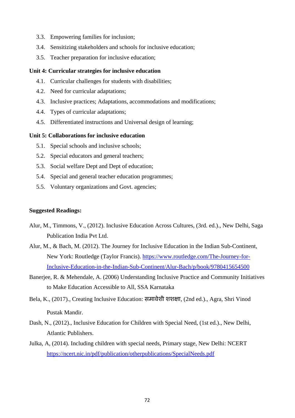- 3.3. Empowering families for inclusion;
- 3.4. Sensitizing stakeholders and schools for inclusive education;
- 3.5. Teacher preparation for inclusive education;

#### **Unit 4: Curricular strategies for inclusive education**

- 4.1. Curricular challenges for students with disabilities;
- 4.2. Need for curricular adaptations;
- 4.3. Inclusive practices; Adaptations, accommodations and modifications;
- 4.4. Types of curricular adaptations;
- 4.5. Differentiated instructions and Universal design of learning;

### **Unit 5: Collaborations for inclusive education**

- 5.1. Special schools and inclusive schools;
- 5.2. Special educators and general teachers;
- 5.3. Social welfare Dept and Dept of education;
- 5.4. Special and general teacher education programmes;
- 5.5. Voluntary organizations and Govt. agencies;

#### **Suggested Readings:**

- Alur, M., Timmons, V., (2012). Inclusive Education Across Cultures, (3rd. ed.)., New Delhi, Saga Publication India Pvt Ltd.
- Alur, M., & Bach, M. (2012). The Journey for Inclusive Education in the Indian Sub-Continent, New York: Routledge (Taylor Francis). https://www.routledge.com/The-Journey-for-Inclusive-Education-in-the-Indian-Sub-Continent/Alur-Bach/p/book/9780415654500
- Banerjee, R. & Mehendale, A. (2006) Understanding Inclusive Practice and Community Initiatives to Make Education Accessible to All, SSA Karnataka
- Bela, K., (2017)., Creating Inclusive Education: समावेशी शशक्षा, (2nd ed.)., Agra, Shri Vinod Pustak Mandir.
- Dash, N., (2012)., Inclusive Education for Children with Special Need, (1st ed.)., New Delhi, Atlantic Publishers.
- Julka, A, (2014). Including children with special needs, Primary stage, New Delhi: NCERT https://ncert.nic.in/pdf/publication/otherpublications/SpecialNeeds.pdf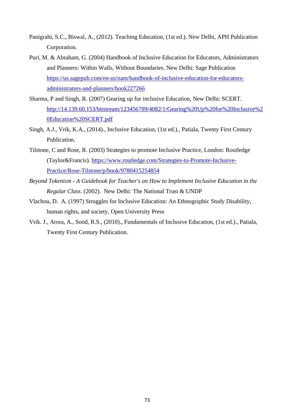- Panigrahi, S.C., Biswal, A., (2012). Teaching Education, (1st ed.). New Delhi, APH Publication Corporation.
- Puri, M. & Abraham, G. (2004) Handbook of Inclusive Education for Educators, Administrators and Planners: Within Walls, Without Boundaries. New Delhi: Sage Publication https://us.sagepub.com/en-us/nam/handbook-of-inclusive-education-for-educatorsadministrators-and-planners/book227266
- Sharma, P and Singh, R. (2007) Gearing up for inclusive Education, New Delhi: SCERT. http://14.139.60.153/bitstream/123456789/4082/1/Gearing%20Up%20for%20Inclusive%2 0Education%20SCERT.pdf
- Singh, A.J., Vrik, K.A., (2014)., Inclusive Education, (1st ed.)., Patiala, Twenty First Century Publication.
- Tilstone, C and Rose, R. (2003) Strategies to promote Inclusive Practice, London: Routledge (Taylor&Francis). https://www.routledge.com/Strategies-to-Promote-Inclusive-Practice/Rose-Tilstone/p/book/9780415254854
- *Beyond Tokenism A Guidebook for Teacher's on How to Implement Inclusive Education in the Regular Class*. (2002). New Delhi: The National Trust & UNDP
- Vlachou, D. A. (1997) Struggles for Inclusive Education: An Ethnographic Study Disability, human rights, and society, Open University Press
- Vrik. J., Arora, A., Sood, R.S., (2010)., Fundamentals of Inclusive Education, (1st ed.)., Patiala, Twenty First Century Publication.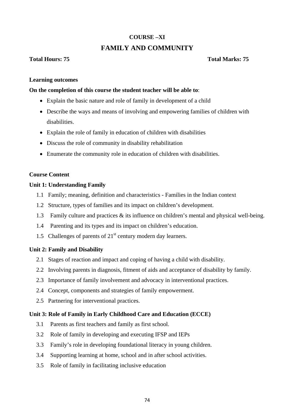# **COURSE –XI**

# **FAMILY AND COMMUNITY**

# **Total Hours: 75 Total Marks: 75**

# **Learning outcomes**

# **On the completion of this course the student teacher will be able to**:

- Explain the basic nature and role of family in development of a child
- Describe the ways and means of involving and empowering families of children with disabilities.
- Explain the role of family in education of children with disabilities
- Discuss the role of community in disability rehabilitation
- Enumerate the community role in education of children with disabilities.

### **Course Content**

### **Unit 1: Understanding Family**

- 1.1 Family; meaning, definition and characteristics Families in the Indian context
- 1.2 Structure, types of families and its impact on children's development.
- 1.3 Family culture and practices & its influence on children's mental and physical well-being.
- 1.4 Parenting and its types and its impact on children's education.
- 1.5 Challenges of parents of  $21<sup>st</sup>$  century modern day learners.

### **Unit 2: Family and Disability**

- 2.1 Stages of reaction and impact and coping of having a child with disability.
- 2.2 Involving parents in diagnosis, fitment of aids and acceptance of disability by family.
- 2.3 Importance of family involvement and advocacy in interventional practices.
- 2.4 Concept, components and strategies of family empowerment.
- 2.5 Partnering for interventional practices.

# **Unit 3: Role of Family in Early Childhood Care and Education (ECCE)**

- 3.1 Parents as first teachers and family as first school.
- 3.2 Role of family in developing and executing IFSP and IEPs
- 3.3 Family's role in developing foundational literacy in young children.
- 3.4 Supporting learning at home, school and in after school activities.
- 3.5 Role of family in facilitating inclusive education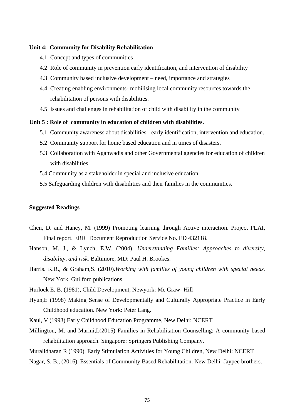#### **Unit 4: Community for Disability Rehabilitation**

- 4.1 Concept and types of communities
- 4.2 Role of community in prevention early identification, and intervention of disability
- 4.3 Community based inclusive development need, importance and strategies
- 4.4 Creating enabling environments- mobilising local community resources towards the rehabilitation of persons with disabilities.
- 4.5 Issues and challenges in rehabilitation of child with disability in the community

#### **Unit 5 : Role of community in education of children with disabilities.**

- 5.1 Community awareness about disabilities early identification, intervention and education.
- 5.2 Community support for home based education and in times of disasters.
- 5.3 Collaboration with Aganwadis and other Governmental agencies for education of children with disabilities.
- 5.4 Community as a stakeholder in special and inclusive education.
- 5.5 Safeguarding children with disabilities and their families in the communities.

#### **Suggested Readings**

- Chen, D. and Haney, M. (1999) Promoting learning through Active interaction. Project PLAI, Final report. ERIC Document Reproduction Service No. ED 432118.
- Hanson, M. J., & Lynch, E.W. (2004). *Understanding Families: Approaches to diversity, disability, and risk.* Baltimore, MD: Paul H. Brookes.
- Harris. K.R., & Graham,S. (2010).*Working with families of young children with special needs.* New York, Guilford publications
- Hurlock E. B. (1981), Child Development, Newyork: Mc Graw- Hill
- Hyun,E (1998) Making Sense of Developmentally and Culturally Appropriate Practice in Early Childhood education. New York: Peter Lang.
- Kaul, V (1993) Early Childhood Education Programme, New Delhi: NCERT
- Millington, M. and Marini,I.(2015) Families in Rehabilitation Counselling: A community based rehabilitation approach. Singapore: Springers Publishing Company.
- Muralidharan R (1990). Early Stimulation Activities for Young Children, New Delhi: NCERT
- Nagar, S. B., (2016). Essentials of Community Based Rehabilitation. New Delhi: Jaypee brothers.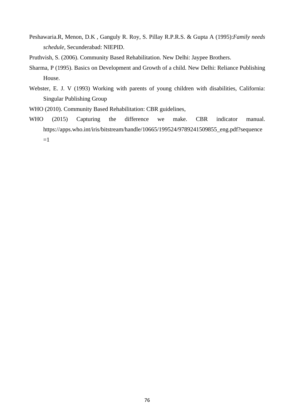- Peshawaria.R, Menon, D.K , Ganguly R. Roy, S. Pillay R.P.R.S. & Gupta A (1995):*Family needs schedule,* Secunderabad: NIEPID.
- Pruthvish, S. (2006). Community Based Rehabilitation. New Delhi: Jaypee Brothers.
- Sharma, P (1995). Basics on Development and Growth of a child. New Delhi: Reliance Publishing House.
- Webster, E. J. V (1993) Working with parents of young children with disabilities, California: Singular Publishing Group
- WHO (2010). Community Based Rehabilitation: CBR guidelines,
- WHO (2015) Capturing the difference we make. CBR indicator manual. https://apps.who.int/iris/bitstream/handle/10665/199524/9789241509855\_eng.pdf?sequence  $=1$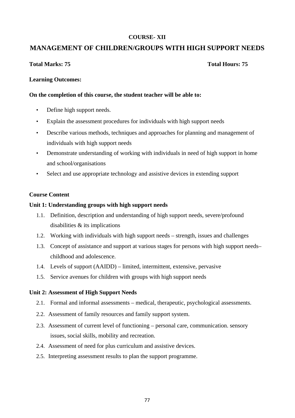# **COURSE- XII**

# **MANAGEMENT OF CHILDREN/GROUPS WITH HIGH SUPPORT NEEDS**

# **Total Marks: 75 Total Hours: 75**

# **Learning Outcomes:**

# **On the completion of this course, the student teacher will be able to:**

- Define high support needs.
- Explain the assessment procedures for individuals with high support needs
- Describe various methods, techniques and approaches for planning and management of individuals with high support needs
- Demonstrate understanding of working with individuals in need of high support in home and school/organisations
- Select and use appropriate technology and assistive devices in extending support

# **Course Content**

# **Unit 1: Understanding groups with high support needs**

- 1.1. Definition, description and understanding of high support needs, severe/profound disabilities & its implications
- 1.2. Working with individuals with high support needs strength, issues and challenges
- 1.3. Concept of assistance and support at various stages for persons with high support needs– childhood and adolescence.
- 1.4. Levels of support (AAIDD) limited, intermittent, extensive, pervasive
- 1.5. Service avenues for children with groups with high support needs

# **Unit 2: Assessment of High Support Needs**

- 2.1. Formal and informal assessments medical, therapeutic, psychological assessments.
- 2.2. Assessment of family resources and family support system.
- 2.3. Assessment of current level of functioning personal care, communication. sensory issues, social skills, mobility and recreation.
- 2.4. Assessment of need for plus curriculum and assistive devices.
- 2.5. Interpreting assessment results to plan the support programme.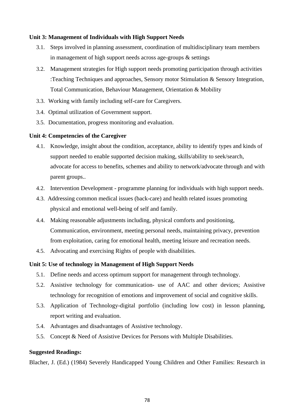# **Unit 3: Management of Individuals with High Support Needs**

- 3.1. Steps involved in planning assessment, coordination of multidisciplinary team members in management of high support needs across age-groups & settings
- 3.2. Management strategies for High support needs promoting participation through activities :Teaching Techniques and approaches, Sensory motor Stimulation & Sensory Integration, Total Communication, Behaviour Management, Orientation & Mobility
- 3.3. Working with family including self-care for Caregivers.
- 3.4. Optimal utilization of Government support.
- 3.5. Documentation, progress monitoring and evaluation.

# **Unit 4: Competencies of the Caregiver**

- 4.1. Knowledge, insight about the condition, acceptance, ability to identify types and kinds of support needed to enable supported decision making, skills/ability to seek/search, advocate for access to benefits, schemes and ability to network/advocate through and with parent groups..
- 4.2. Intervention Development programme planning for individuals with high support needs.
- 4.3. Addressing common medical issues (back-care) and health related issues promoting physical and emotional well-being of self and family.
- 4.4. Making reasonable adjustments including, physical comforts and positioning, Communication, environment, meeting personal needs, maintaining privacy, prevention from exploitation, caring for emotional health, meeting leisure and recreation needs.
- 4.5. Advocating and exercising Rights of people with disabilities.

### **Unit 5: Use of technology in Management of High Support Needs**

- 5.1. Define needs and access optimum support for management through technology.
- 5.2. Assistive technology for communication- use of AAC and other devices; Assistive technology for recognition of emotions and improvement of social and cognitive skills.
- 5.3. Application of Technology-digital portfolio (including low cost) in lesson planning, report writing and evaluation.
- 5.4. Advantages and disadvantages of Assistive technology.
- 5.5. Concept & Need of Assistive Devices for Persons with Multiple Disabilities.

### **Suggested Readings:**

Blacher, J. (Ed.) (1984) Severely Handicapped Young Children and Other Families: Research in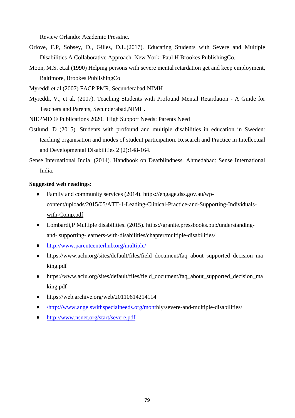Review Orlando: Academic PressInc.

- Orlove, F.P, Sobsey, D., Gilles, D.L.(2017). Educating Students with Severe and Multiple Disabilities A Collaborative Approach. New York: Paul H Brookes PublishingCo.
- Moon, M.S. et.al (1990) Helping persons with severe mental retardation get and keep employment, Baltimore, Brookes PublishingCo
- Myreddi et al (2007) FACP PMR, Secunderabad:NIMH
- Myreddi, V., et al. (2007). Teaching Students with Profound Mental Retardation A Guide for Teachers and Parents, Secunderabad,NIMH.
- NIEPMD © Publications 2020. High Support Needs: Parents Need
- Ostlund, D (2015). Students with profound and multiple disabilities in education in Sweden: teaching organisation and modes of student participation. Research and Practice in Intellectual and Developmental Disabilities 2 (2):148-164.
- Sense International India. (2014). Handbook on Deafblindness. Ahmedabad: Sense International India.

### **Suggested web readings:**

- Family and community services (2014). https://engage.dss.gov.au/wpcontent/uploads/2015/05/ATT-1-Leading-Clinical-Practice-and-Supporting-Individualswith-Comp.pdf
- Lombardi,P Multiple disabilities. (2015). https://granite.pressbooks.pub/understandingand- supporting-learners-with-disabilities/chapter/multiple-disabilities/
- http://www.parentcenterhub.org/multiple/
- https://www.aclu.org/sites/default/files/field document/faq about supported decision ma king.pdf
- https://www.aclu.org/sites/default/files/field\_document/faq\_about\_supported\_decision\_ma king.pdf
- https://web.archive.org/web/20110614214114
- /http://www.angelswithspecialneeds.org/monthly/severe-and-multiple-disabilities/
- http://www.nsnet.org/start/severe.pdf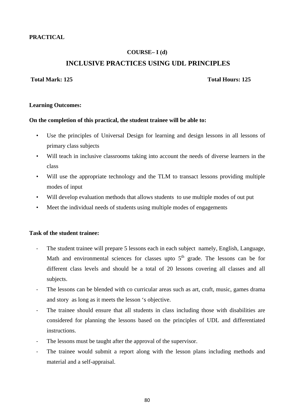# **PRACTICAL**

# **COURSE– I (d)**

# **INCLUSIVE PRACTICES USING UDL PRINCIPLES**

# **Total Mark: 125 Total Hours: 125**

### **Learning Outcomes:**

#### **On the completion of this practical, the student trainee will be able to:**

- Use the principles of Universal Design for learning and design lessons in all lessons of primary class subjects
- Will teach in inclusive classrooms taking into account the needs of diverse learners in the class
- Will use the appropriate technology and the TLM to transact lessons providing multiple modes of input
- Will develop evaluation methods that allows students to use multiple modes of out put
- Meet the individual needs of students using multiple modes of engagements

### **Task of the student trainee:**

- The student trainee will prepare 5 lessons each in each subject namely, English, Language, Math and environmental sciences for classes upto  $5<sup>th</sup>$  grade. The lessons can be for different class levels and should be a total of 20 lessons covering all classes and all subjects.
- The lessons can be blended with co curricular areas such as art, craft, music, games drama and story as long as it meets the lesson 's objective.
- The trainee should ensure that all students in class including those with disabilities are considered for planning the lessons based on the principles of UDL and differentiated instructions.
- The lessons must be taught after the approval of the supervisor.
- The trainee would submit a report along with the lesson plans including methods and material and a self-appraisal.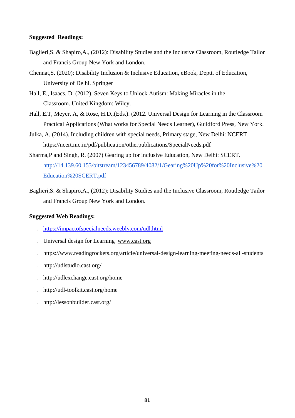### **Suggested Readings:**

- Baglieri,S. & Shapiro,A., (2012): Disability Studies and the Inclusive Classroom, Routledge Tailor and Francis Group New York and London.
- Chennat,S. (2020): Disability Inclusion & Inclusive Education, eBook, Deptt. of Education, University of Delhi. Springer
- Hall, E., Isaacs, D. (2012). Seven Keys to Unlock Autism: Making Miracles in the Classroom. United Kingdom: Wiley.
- Hall, E.T, Meyer, A, & Rose, H.D.,(Eds.). (2012. Universal Design for Learning in the Classroom Practical Applications (What works for Special Needs Learner), Guildford Press, New York.
- Julka, A, (2014). Including children with special needs, Primary stage, New Delhi: NCERT https://ncert.nic.in/pdf/publication/otherpublications/SpecialNeeds.pdf
- Sharma,P and Singh, R. (2007) Gearing up for inclusive Education, New Delhi: SCERT. http://14.139.60.153/bitstream/123456789/4082/1/Gearing%20Up%20for%20Inclusive%20 Education%20SCERT.pdf
- Baglieri,S. & Shapiro,A., (2012): Disability Studies and the Inclusive Classroom, Routledge Tailor and Francis Group New York and London.

### **Suggested Web Readings:**

- . https://impactofspecialneeds.weebly.com/udl.html
- . Universal design for Learning www.cast.org
- . https://www.readingrockets.org/article/universal-design-learning-meeting-needs-all-students
- . http://udlstudio.cast.org/
- . http://udlexchange.cast.org/home
- . http://udl-toolkit.cast.org/home
- . http://lessonbuilder.cast.org/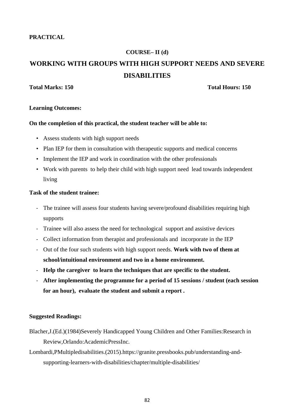# **PRACTICAL**

#### **COURSE– II (d)**

# **WORKING WITH GROUPS WITH HIGH SUPPORT NEEDS AND SEVERE DISABILITIES**

#### **Total Marks: 150 Total Hours: 150**

#### **Learning Outcomes:**

### **On the completion of this practical, the student teacher will be able to:**

- Assess students with high support needs
- Plan IEP for them in consultation with the rapeutic supports and medical concerns
- Implement the IEP and work in coordination with the other professionals
- Work with parents to help their child with high support need lead towards independent living

#### **Task of the student trainee:**

- The trainee will assess four students having severe/profound disabilities requiring high supports
- Trainee will also assess the need for technological support and assistive devices
- Collect information from therapist and professionals and incorporate in the IEP
- Out of the four such students with high support needs. **Work with two of them at school/intuitional environment and two in a home environment.**
- **Help the caregiver to learn the techniques that are specific to the student.**
- **After implementing the programme for a period of 15 sessions / student (each session for an hour), evaluate the student and submit a report .**

#### **Suggested Readings:**

- Blacher,J.(Ed.)(1984)Severely Handicapped Young Children and Other Families:Research in Review,Orlando:AcademicPressInc.
- Lombardi,PMultipledisabilities.(2015).https://granite.pressbooks.pub/understanding-andsupporting-learners-with-disabilities/chapter/multiple-disabilities/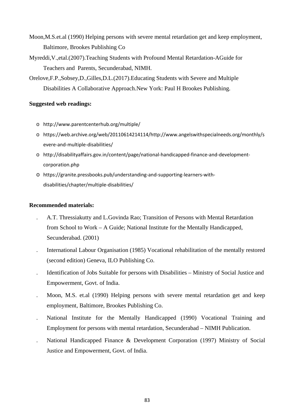- Moon,M.S.et.al (1990) Helping persons with severe mental retardation get and keep employment, Baltimore, Brookes Publishing Co
- Myreddi,V.,etal.(2007).Teaching Students with Profound Mental Retardation-AGuide for Teachers and Parents, Secunderabad, NIMH.
- Orelove,F.P.,Sobsey,D.,Gilles,D.L.(2017).Educating Students with Severe and Multiple Disabilities A Collaborative Approach.New York: Paul H Brookes Publishing.

# **Suggested web readings:**

- o http://www.parentcenterhub.org/multiple/
- o https://web.archive.org/web/20110614214114/http://www.angelswithspecialneeds.org/monthly/s evere-and-multiple-disabilities/
- o http://disabilityaffairs.gov.in/content/page/national-handicapped-finance-and-developmentcorporation.php
- o https://granite.pressbooks.pub/understanding-and-supporting-learners-withdisabilities/chapter/multiple-disabilities/

# **Recommended materials:**

- . A.T. Thressiakutty and L.Govinda Rao; Transition of Persons with Mental Retardation from School to Work – A Guide; National Institute for the Mentally Handicapped, Secunderabad. (2001)
- . International Labour Organisation (1985) Vocational rehabilitation of the mentally restored (second edition) Geneva, ILO Publishing Co.
- . Identification of Jobs Suitable for persons with Disabilities Ministry of Social Justice and Empowerment, Govt. of India.
- . Moon, M.S. et.al (1990) Helping persons with severe mental retardation get and keep employment, Baltimore, Brookes Publishing Co.
- . National Institute for the Mentally Handicapped (1990) Vocational Training and Employment for persons with mental retardation, Secunderabad – NIMH Publication.
- . National Handicapped Finance & Development Corporation (1997) Ministry of Social Justice and Empowerment, Govt. of India.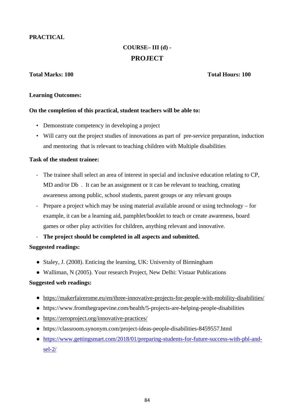# **PRACTICAL**

# **COURSE– III (d) - PROJECT**

# **Total Marks: 100 Total Hours: 100**

### **Learning Outcomes:**

# **On the completion of this practical, student teachers will be able to:**

- Demonstrate competency in developing a project
- Will carry out the project studies of innovations as part of pre-service preparation, induction and mentoring that is relevant to teaching children with Multiple disabilities

# **Task of the student trainee:**

- The trainee shall select an area of interest in special and inclusive education relating to CP, MD and/or Db. It can be an assignment or it can be relevant to teaching, creating awareness among public, school students, parent groups or any relevant groups
- Prepare a project which may be using material available around or using technology for example, it can be a learning aid, pamphlet/booklet to teach or create awareness, board games or other play activities for children, anything relevant and innovative.

- **The project should be completed in all aspects and submitted.** 

# **Suggested readings:**

- Staley, J. (2008). Enticing the learning, UK: University of Birmingham
- Walliman, N (2005). Your research Project, New Delhi: Vistaar Publications

### **Suggested web readings:**

- https://makerfairerome.eu/en/three-innovative-projects-for-people-with-mobility-disabilities/
- https://www.fromthegrapevine.com/health/5-projects-are-helping-people-disabilities
- https://zeroproject.org/innovative-practices/
- https://classroom.synonym.com/project-ideas-people-disabilities-8459557.html
- https://www.gettingsmart.com/2018/01/preparing-students-for-future-success-with-pbl-andsel-2/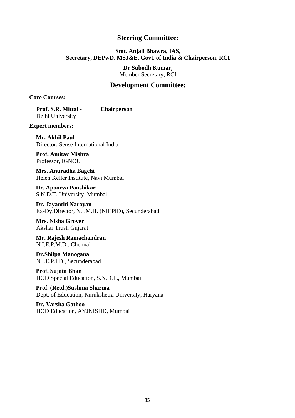# **Steering Committee:**

# **Smt. Anjali Bhawra, IAS, Secretary, DEPwD, MSJ&E, Govt. of India & Chairperson, RCI**

**Dr Subodh Kumar,**  Member Secretary, RCI

# **Development Committee:**

**Core Courses:** 

**Prof. S.R. Mittal - Chairperson** Delhi University

**Expert members:** 

**Mr. Akhil Paul**  Director, Sense International India

**Prof. Amitav Mishra**  Professor, IGNOU

**Mrs. Anuradha Bagchi**  Helen Keller Institute, Navi Mumbai

**Dr. Apoorva Panshikar**  S.N.D.T. University, Mumbai

**Dr. Jayanthi Narayan**  Ex-Dy.Director, N.I.M.H. (NIEPID), Secunderabad

**Mrs. Nisha Grover**  Akshar Trust, Gujarat

**Mr. Rajesh Ramachandran**  N.I.E.P.M.D., Chennai

**Dr.Shilpa Manogana**  N.I.E.P.I.D., Secunderabad

**Prof. Sujata Bhan**  HOD Special Education, S.N.D.T., Mumbai

**Prof. (Retd.)Sushma Sharma**  Dept. of Education, Kurukshetra University, Haryana

**Dr. Varsha Gathoo**  HOD Education, AYJNISHD, Mumbai